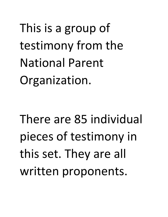This is a group of testimony from the National Parent Organization.

There are 85 individual pieces of testimony in this set. They are all written proponents.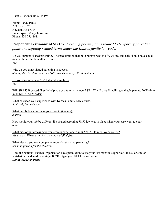Date: 2/13/2020 10:02:48 PM

From: Randy Pauls P.O. Box 1025 Newton, KS 67114 Email: rpauls76@yahoo.com Phone: 620-755-2681

# **Proponent Testimony of SB 157:** *Creating presumptions related to temporary parenting plans and defining related terms under the Kansas family law code.*

Do you support shared parenting? The presumption that both parents who are fit, willing and able should have equal time with the children after divorce. *Yes* 

Why do you think shared parenting is needed? *Simple, the kids deserve to see both parents equally. It's that simple* 

Do you currently have 50/50 shared parenting? *Yes* 

Will SB 157 if passed directly help you or a family member? SB 157 will give fit, willing and able parents 50/50 time in TEMPORARY orders.

What has been your experience with Kansas Family Law Courts? *So far ok, but we'll see* 

What family law court was your case in (County)? *Harvey* 

How would your life be different if a shared parenting 50/50 law was in place when your case went to court? *Same* 

What bias or unfairness have you seen or experienced in KANSAS family law or courts? *Always pro Woman, but I was smart and filed first* 

What else do you want people to know about shared parenting? *It's so important for the children* 

Does the National Parents Organization have permission to use your testimony in support of SB 157 or similar legislation for shared parenting? If YES, type your FULL name below: *Randy Nicholas Pauls*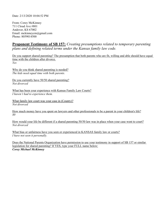Date: 2/13/2020 10:04:52 PM

From: Corey McKinney 711 Cloud Ave #801 Andover, KS 67002 Email: mckinneycm@gmail.com Phone: 8059014500

# **Proponent Testimony of SB 157:** *Creating presumptions related to temporary parenting plans and defining related terms under the Kansas family law code.*

Do you support shared parenting? The presumption that both parents who are fit, willing and able should have equal time with the children after divorce. *Yes* 

Why do you think shared parenting is needed? *The kids need equal time with both parents.* 

Do you currently have 50/50 shared parenting? *Not divorced* 

What has been your experience with Kansas Family Law Courts? *I haven't had to experience them.* 

What family law court was your case in (County)? *Not divorced* 

How much money have you spent on lawyers and other professionals to be a parent in your children's life? *\$0* 

How would your life be different if a shared parenting 50/50 law was in place when your case went to court? *Not divorced* 

What bias or unfairness have you seen or experienced in KANSAS family law or courts? *I have not seen it personally.* 

Does the National Parents Organization have permission to use your testimony in support of SB 157 or similar legislation for shared parenting? If YES, type your FULL name below: *Corey Michael McKinney*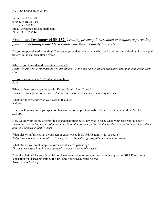From: Jerod Metcalf 6065 S 143rd St East Derby, KS 67037 Email: Jerodmetcalf@hotmail.com Phone: 3163059544

# **Proponent Testimony of SB 157:** *Creating presumptions related to temporary parenting plans and defining related terms under the Kansas family law code.*

Do you support shared parenting? The presumption that both parents who are fit, willing and able should have equal time with the children after divorce. *Yes* 

Why do you think shared parenting is needed? *Family courts are horribly biased against fathers. Loving and caring fathers are denied reasonable time with their kids.* 

Do you currently have 50/50 shared parenting? *35%* 

What has been your experience with Kansas Family Law Courts? *Horrible. I was guilty when I walked in the door. Every decision was made against me.* 

What family law court was your case in (County)? *Sedgwick* 

How much money have you spent on lawyers and other professionals to be a parent in your children's life? *\$10,000* 

How would your life be different if a shared parenting 50/50 law was in place when your case went to court? *I would have saved thousands of dollars and been able to see my children during their early childhood. I was denied that time because of family court.* 

What bias or unfairness have you seen or experienced in KANSAS family law or courts? *Judge Eric Commer is horrible. Extremely biased. He rules against fathers as much as possible.* 

What else do you want people to know about shared parenting? *This is a necessary law. It is not currently a fair or reasonable system.* 

Does the National Parents Organization have permission to use your testimony in support of SB 157 or similar legislation for shared parenting? If YES, type your FULL name below: *Jerod Worth Metcalf*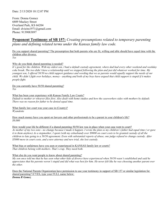From: Donna Gomez 6809 Mackey Street Overland Park, KS 66204 Email: dvieira1971@gmail.com Phone: 9139083897

# **Proponent Testimony of SB 157:** *Creating presumptions related to temporary parenting plans and defining related terms under the Kansas family law code.*

Do you support shared parenting? The presumption that both parents who are fit, willing and able should have equal time with the children after divorce. *Yes* 

### Why do you think shared parenting is needed?

*It's good for the children. With my oldest son, I had a default custody agreement, where dad had every other weekend and weekday coke break. The two didn't have a relationship until we stopped following the plan and just did whatever worked for time. My youngest son, I offered 50/50 no child support guidance and wording that we as parents would equally support the needs of our child. We didn't fight over holidays, money - anything and both of my boys have argued that child support is stupid if it makes people fight.* 

Do you currently have 50/50 shared parenting? *Yes* 

What has been your experience with Kansas Family Law Courts?

*Default to mother or whoever files first. Also dealt with home studies and how the caseworkers sides with mothers by default. There was no reason for father to be denied equal time.* 

What family law court was your case in (County)? *Wyandotte* 

How much money have you spent on lawyers and other professionals to be a parent in your children's life? *\$9,000* 

How would your life be different if a shared parenting 50/50 law was in place when your case went to court?

*As mother of my two sons - no change because I made it happen- I wrote the plan so my children's father had equal time ( or gave it to them anyhow) As a stepmother, I spent (with my exhusband) over \$9000 on court costs to be granted custody of all the children to late going to a 50/50 agreement. Even with substantial reports of abuse, one judge refused to change custody. After \$5000 more in court costs, and a new attorney and new trial, she lost custody.* 

What bias or unfairness have you seen or experienced in KANSAS family law or courts? *That children belong with mothers. That's crap. They need both.* 

### What else do you want people to know about shared parenting?

*My son once told me that he has seen what other kids of divorce have experienced when 50/50 wasn't established and said he appreciates that his parents weren't stupid and did what was best for him. He never felt like he was choosing another parent over the other.* 

Does the National Parents Organization have permission to use your testimony in support of SB 157 or similar legislation for shared parenting? If YES, type your FULL name below: *Donna R Gomez*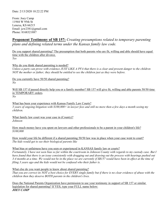From: Joey Camp 11944 W 95th St Lenexa, KS 66215 Email: jcw2381@gmail.com Phone: 8168321887

# **Proponent Testimony of SB 157:** *Creating presumptions related to temporary parenting plans and defining related terms under the Kansas family law code.*

Do you support shared parenting? The presumption that both parents who are fit, willing and able should have equal time with the children after divorce. *Yes* 

Why do you think shared parenting is needed?

*Unless a party can prove with evidence JUST LIKE A PFA that there is a clear and present danger to the children NOT the mother or father; they should be entitled to see the children just as they were before.* 

Do you currently have 50/50 shared parenting? *No* 

Will SB 157 if passed directly help you or a family member? SB 157 will give fit, willing and able parents 50/50 time in TEMPORARY orders. *No* 

What has been your experience with Kansas Family Law Courts? *3 years of ongoing litigation with \$100,000+ in lawyer fees and still no more then a few days a month seeing my children.* 

What family law court was your case in (County)? *Johnson* 

How much money have you spent on lawyers and other professionals to be a parent in your children's life? *\$100,000* 

How would your life be different if a shared parenting 50/50 law was in place when your case went to court? *The kids would get to see their biological parents like* 

What bias or unfairness have you seen or experienced in KANSAS family law or courts?

*Fortunately, I have not seen bias so far within the courtroom in Johnson County with regards to my custody case. But I have found that there is an issue consistently with dragging out and drawing out the process with hearings pushed out 3-4 months at a time. We would not be in the place we are currently if SB157 would have been in effect at the time of filing 3 years ago and the kids would not be confused who their father is.* 

What else do you want people to know about shared parenting?

*That you are correct its NOT a best choice for EVERY single family but if there is no clear evidence of abuse with the children then they deserve BOTH parents in the children's lives.* 

Does the National Parents Organization have permission to use your testimony in support of SB 157 or similar legislation for shared parenting? If YES, type your FULL name below: *JOEY CAMP*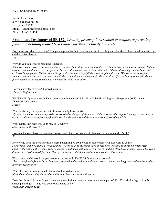From: Tara Parker 209 S Crosswood Ln Derby, KS 67037 Email: Taraparkertong@gmail.com Phone: 316-516-4542

## **Proponent Testimony of SB 157:** *Creating presumptions related to temporary parenting plans and defining related terms under the Kansas family law code.*

Do you support shared parenting? The presumption that both parents who are fit, willing and able should have equal time with the children after divorce. *Yes* 

### Why do you think shared parenting is needed?

*When two people divorce, for any number of reasons, their ability to be a parent is overlooked favoring a specific gender. Fathers have become conditioned over the years to be "losers" when it comes to time with their children. Parenting is not a "maternal exclusive" engagement. Fathers should be provided the space to fulfill their roll despite a divorce. Divorce is the ends of a romantic relationship, not a parental one. Fathers should not have to right for their children. If fit, by legally standards, then a father should be able to spend equal time with his child or children.* 

Do you currently have 50/50 shared parenting? *I have 85% of the time* 

Will SB 157 if passed directly help you or a family member? SB 157 will give fit, willing and able parents 50/50 time in TEMPORARY orders. *Maybe* 

What has been your experience with Kansas Family Law Courts?

*My experience has been that my wishes overlooked in the eyes of the court. I did not want child support from my second divorce, as I was able to waive it from my first divorce, but the judge stated the law was not in favor of my wishes.* 

What family law court was your case in (County)? *Sedgwick for both divorces* 

How much money have you spent on lawyers and other professionals to be a parent in your children's life? *\$0* 

How would your life be different if a shared parenting 50/50 law was in place when your case went to court? *I don't know that my situation would change. Thoigh both ex-husbands have always been welcome to spend time with their children they have opted not to. They both seed conditioned that they have no power and therefore have withdrawn over the years despite open invites to ask for time. Our agreements are 50/50 but neither has maximized this option.* 

What bias or unfairness have you seen or experienced in KANSAS family law or courts? *I have seen female friends fail to be properly guided and lose their children in divorce to men watching their children be used as leverage against them.* 

What else do you want people to know about shared parenting? *It's in the best interest of the child or children to have access to both parents.* 

Does the National Parents Organization have permission to use your testimony in support of SB 157 or similar legislation for shared parenting? If YES, type your FULL name below: *Tara Lynn Parket-Tong*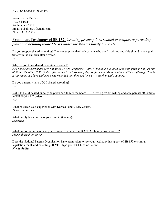From: Nicole Beliles 1437 s kansas Wichita, KS 67211 Email: N.beliles01@gmail.com Phone: 3166659971

# **Proponent Testimony of SB 157:** *Creating presumptions related to temporary parenting plans and defining related terms under the Kansas family law code.*

Do you support shared parenting? The presumption that both parents who are fit, willing and able should have equal time with the children after divorce. *Yes* 

Why do you think shared parenting is needed?

*Just because we separate does not mean we are not parents 100% of the time. Children need both parents not just one 80% and the other 20%. Dads suffer so much and women if they're fit or not take advantage of their suffering. How is it fair moms can keep children away from dad and then ask for way to much in child support.* 

Do you currently have 50/50 shared parenting? *Yes* 

Will SB 157 if passed directly help you or a family member? SB 157 will give fit, willing and able parents 50/50 time in TEMPORARY orders. *Yes* 

What has been your experience with Kansas Family Law Courts? *There's no justice.* 

What family law court was your case in (County)? *Sedgwick* 

What bias or unfairness have you seen or experienced in KANSAS family law or courts? *Moms abuse their power* 

Does the National Parents Organization have permission to use your testimony in support of SB 157 or similar legislation for shared parenting? If YES, type your FULL name below: *Nicole Beliles*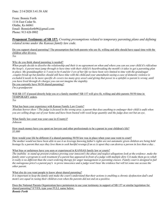From: Bonnie Forth 1116 East Cedar St. Olathe, Ks 66061 Email: Bonnieforth96@gmail.com Phone: 913 626 0902

**Proponent Testimony of SB 157:** *Creating presumptions related to temporary parenting plans and defining related terms under the Kansas family law code.*

Do you support shared parenting? The presumption that both parents who are fit, willing and able should have equal time with the children after divorce.

*Yes* 

Why do you think shared parenting is needed?

*When people decide to dissolve the relationship and their is no agreement on when and where you can see your child it's ridiculous the hoop's. A parent must jump through to have time with their child.it's heartbreaking the month's it takes to get a parenting plan in place. My granddaughter is 5 soon to be 6 and for 3 yrs of her life we have been very limited to time with the grandsugar .couples break up but families should still have time with the child.and your amendment saying a case of domestic violence is excluded it needs to be more specific dv covers too many grey area's and giving that power to a spiteful co parent is wrong .until you have lived through dv charges you can not imagine the stupidity.*  Do you currently have 50/50 shared parenting?

*I'm a grandparent* 

Will SB 157 if passed directly help you or a family member? SB 157 will give fit, willing and able parents 50/50 time in TEMPORARY orders.

*Yes* 

### What has been your experience with Kansas Family Law Courts?

*Absolute horror show ! The judge is focused in the wrong area. a parent that does anything to endanger their child is unfit when you are selling drugs out of your home and have been busted with weed large quantity and the judge does not bat an eye.* 

What family law court was your case in (County)? *Johnson* 

How much money have you spent on lawyers and other professionals to be a parent in your children's life? *\$5,000* 

How would your life be different if a shared parenting 50/50 law was in place when your case went to court? *The mother would not have been able to use it as leverage knowing father's rights are not automatic given children are being held hostage by a parent that says they love them to seek hurtful revenge.if an ex is upset they can destroy a person in less than a day.* 

What bias or unfairness have you seen or experienced in KANSAS family law or courts?

*The inability to stand up present evidence proving your innocent's the abuse and neglect allegations look at the evidence .make the family enter a program to seek treatment if a parent has appeared in front of a judge with multiple dirty UA make them go to rehab it really is no different than the court ordering therapy for anger management or parenting classes. Family court is designed to fail the outrageous price's a parent pay's to prove innocence and a judge won't hear the evidence but will let some one accuse the other parent.* 

What else do you want people to know about shared parenting?

*It is important to keep the family unit make the court's understand that their actions is enabling a chronic dysfunction dad's and mom's are equal in rasing their children even when the parents did not end on a positive.* 

Does the National Parents Organization have permission to use your testimony in support of SB 157 or similar legislation for shared parenting? If YES, type your FULL name below: *Bonnie Forth*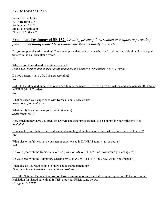From: George Meier 721 S Bedford Cir Wichita, KS 67207 Email: av8r@tir.com Phone: 602 509-5978

# **Proponent Testimony of SB 157:** *Creating presumptions related to temporary parenting plans and defining related terms under the Kansas family law code.*

Do you support shared parenting? The presumption that both parents who are fit, willing and able should have equal time with the children after divorce. *Yes* 

Why do you think shared parenting is needed? *I have been through non-shared parenting and see the damage in my children's lives every day.* 

Do you currently have 50/50 shared parenting? *No* 

Will SB 157 if passed directly help you or a family member? SB 157 will give fit, willing and able parents 50/50 time in TEMPORARY orders. *No* 

What has been your experience with Kansas Family Law Courts? *None - out of state divorce* 

What family law court was your case in (County)? *Santa Barbara, CA* 

How much money have you spent on lawyers and other professionals to be a parent in your children's life? *\$150,000* 

How would your life be different if a shared parenting 50/50 law was in place when your case went to court? *Yes* 

What bias or unfairness have you seen or experienced in KANSAS family law or courts? *N/A* 

Do you agree with the Domestic Violence provision AS WRITEN? If no, how would you change it?

Do you agree with the Temporary Orders provision AS WRITTEN? If no, how would you change it?

What else do you want people to know about shared parenting? *That it works much better for the children involved.* 

Does the National Parents Organization have permission to use your testimony in support of SB 157 or similar legislation for shared parenting? If YES, type your FULL name below: *George D. MEIER*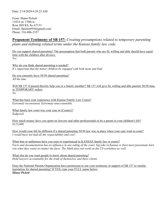From: Shane Pickett 13414 sw 170th st. Rose Hill KS, Ks 67133 Email: Spickett954@gmail.com Phone: 316-806-2357

# **Proponent Testimony of SB 157:** *Creating presumptions related to temporary parenting plans and defining related terms under the Kansas family law code.*

Do you support shared parenting? The presumption that both parents who are fit, willing and able should have equal time with the children after divorce. *Yes* 

Why do you think shared parenting is needed? *It's important that the minor children be engaged with both mom and Dad* 

Do you currently have 50/50 shared parenting? *All the time* 

Will SB 157 if passed directly help you or a family member? SB 157 will give fit, willing and able parents 50/50 time in TEMPORARY orders. *No* 

What has been your experience with Kansas Family Law Courts? *Extremely inconsistent. Extremely unaccountable.* 

What family law court was your case in (County)? *Sedgwick* 

How much money have you spent on lawyers and other professionals to be a parent in your children's life? *\$125,000* 

How would your life be different if a shared parenting 50/50 law was in place when your case went to court? *I would have not had all the respectability and cost!* 

What bias or unfairness have you seen or experienced in KANSAS family law or courts? *Facts and documentation has no influence in any ruling of the court, big joke in Kansas is (best most passionate liars win what they want) no matter the facts. The Math does not work on the CS worksheet as well.* 

What else do you want people to know about shared parenting? *Hold lawyers accountable for the truth of themselves and there clients* 

Does the National Parents Organization have permission to use your testimony in support of SB 157 or similar legislation for shared parenting? If YES, type your FULL name below: *Shane Pickett*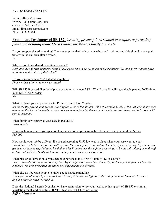From: Jeffrey Masterson 7575 w 106th street APT 460 Overland Park, KS 66212 Email: jlmaster1@gmail.com Phone: 9132319041

# **Proponent Testimony of SB 157:** *Creating presumptions related to temporary parenting plans and defining related terms under the Kansas family law code.*

Do you support shared parenting? The presumption that both parents who are fit, willing and able should have equal time with the children after divorce. *Yes* 

Why do you think shared parenting is needed?

*Each healthy and willing parent should have eqaul time in development of their children! No one parent should have more time and control of their child!* 

Do you currently have 50/50 shared parenting? *I have 4 days allotted to me every month* 

Will SB 157 if passed directly help you or a family member? SB 157 will give fit, willing and able parents 50/50 time in TEMPORARY orders. *No* 

What has been your experience with Kansas Family Law Courts?

*It's inherently flawed, and skewed allowing the voice of the Mother of the children to be above the Father's. In my case and many I've heard the mothers voice concern and unfounded lies were automatically considered truths in court with zero foundation.* 

What family law court was your case in (County)? *Leavenworth* 

How much money have you spent on lawyers and other professionals to be a parent in your children's life? *\$35,000* 

How would your life be different if a shared parenting 50/50 law was in place when your case went to court? *I would have a better relationship with my son. She quickly moved on within 3 months of us seperating. My son in 2nd grade considers he stepdad to be his dad and his little brother through that marriage to be his only sibling even though he has a little sister. That's his Family, and my home is a weekend vacation!* 

What bias or unfairness have you seen or experienced in KANSAS family law or courts? *I was railroaded through the court system. My ex wife was allowed to set a early presidency on unfounded lies. No evidence was ever presented the entire 360 days during our divorce.* 

What else do you want people to know about shared parenting? *Don't give up although I personally haven't won yet I know the light is at the end of the tunnel and will be such a joyous occasion when we reach it.* 

Does the National Parents Organization have permission to use your testimony in support of SB 157 or similar legislation for shared parenting? If YES, type your FULL name below:

*Jeffrey Masterson*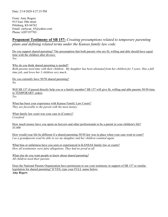From: Amy Rogers 915 East 10th street Pittsburg, KS 66762 Email: curlycue\_43@yahoo.com Phone: 6207197703

# **Proponent Testimony of SB 157:** *Creating presumptions related to temporary parenting plans and defining related terms under the Kansas family law code.*

Do you support shared parenting? The presumption that both parents who are fit, willing and able should have equal time with the children after divorce. *Yes* 

Why do you think shared parenting is needed? *Both parents need time with their children . My daughter has been alienated from her children for 5 years. Has a full time job, and loves her 3 children very much.* 

Do you currently have 50/50 shared parenting? *No* 

Will SB 157 if passed directly help you or a family member? SB 157 will give fit, willing and able parents 50/50 time in TEMPORARY orders. *Yes* 

What has been your experience with Kansas Family Law Courts? *They are favorable to the parent with the most money.* 

What family law court was your case in (County)? *Crawford* 

How much money have you spent on lawyers and other professionals to be a parent in your children's life? *\$5,000* 

How would your life be different if a shared parenting 50/50 law was in place when your case went to court? I as a grandparent woul be able to see my daughter and her children reunited again.

What bias or unfairness have you seen or experienced in KANSAS family law or courts? *How all testimonies were false allegations. They had no proof at all.* 

What else do you want people to know about shared parenting? *All children need their parents.* 

Does the National Parents Organization have permission to use your testimony in support of SB 157 or similar legislation for shared parenting? If YES, type your FULL name below: *Amy Rogers*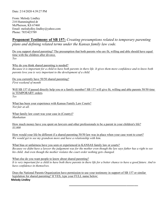From: Melody Lindley 210 Hummingbird dr McPherson, KS 67460 Email: melodydley.lindley@yahoo.com Phone: 7853423789

# **Proponent Testimony of SB 157:** *Creating presumptions related to temporary parenting plans and defining related terms under the Kansas family law code.*

Do you support shared parenting? The presumption that both parents who are fit, willing and able should have equal time with the children after divorce. *Yes* 

Why do you think shared parenting is needed?

*Because it is important for a child to have both parents in there life. It gives them more confidence and to know both parents love you is very important to the development of a child.* 

Do you currently have 50/50 shared parenting? *First weekend of month* 

Will SB 157 if passed directly help you or a family member? SB 157 will give fit, willing and able parents 50/50 time in TEMPORARY orders. *Yes* 

What has been your experience with Kansas Family Law Courts? *Not fair at all.* 

What family law court was your case in (County)? *Manhattan* 

How much money have you spent on lawyers and other professionals to be a parent in your children's life? *\$3,000* 

How would your life be different if a shared parenting 50/50 law was in place when your case went to court? *We would get to see my grandson more and have a relationship with him.* 

What bias or unfairness have you seen or experienced in KANSAS family law or courts? *Because we didnt have a lawyer the judgement was for the mother even though the law says father has a right to see his child. And even though the mother violates the court order nothing gets changed.* 

What else do you want people to know about shared parenting? *It is very important for a child to have both there parents in there life for a better chance to have a good future. And to have confidence in themselves.* 

Does the National Parents Organization have permission to use your testimony in support of SB 157 or similar legislation for shared parenting? If YES, type your FULL name below: **Melody Lindley**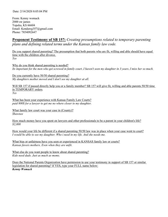From: Kenny womack 2000 sw james Topeka, KS 66604 Email: Kendawg357@gmail.com Phone: 7854092647

# **Proponent Testimony of SB 157:** *Creating presumptions related to temporary parenting plans and defining related terms under the Kansas family law code.*

Do you support shared parenting? The presumption that both parents who are fit, willing and able should have equal time with the children after divorce. *Yes* 

Why do you think shared parenting is needed? *Its important for the men who get screwed in family court..I haven't seen my daughter in 3 years..I miss her so much.* 

Do you currently have 50/50 shared parenting? *My daughters mother moved and I don't see my daughter at all.* 

Will SB 157 if passed directly help you or a family member? SB 157 will give fit, willing and able parents 50/50 time in TEMPORARY orders. *Yes* 

What has been your experience with Kansas Family Law Courts? *paid 800\$ for a lawyer to get me no where closer to my daughter.* 

What family law court was your case in (County)? *Shawnee* 

How much money have you spent on lawyers and other professionals to be a parent in your children's life? *\$2,000* 

How would your life be different if a shared parenting 50/50 law was in place when your case went to court? *I* would be able to see my daughter. Who *i* need in my life. And she needs me.

What bias or unfairness have you seen or experienced in KANSAS family law or courts? *Kansas favors mothers. Even when they are unfit.* 

What else do you want people to know about shared parenting? *Kids need dads. Just as much as moms.* 

Does the National Parents Organization have permission to use your testimony in support of SB 157 or similar legislation for shared parenting? If YES, type your FULL name below: *Kenny Womack*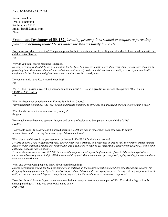From: Ivan Trail 1500 N Glenhurst Wichita, KS 67212 Email: irtrail@gmail.com Phone:

## **Proponent Testimony of SB 157:** *Creating presumptions related to temporary parenting plans and defining related terms under the Kansas family law code.*

Do you support shared parenting? The presumption that both parents who are fit, willing and able should have equal time with the children after divorce. *Yes* 

Why do you think shared parenting is needed?

*Shared parenting is absolutely the best situation for the kids. In a divorce, children are often treated like pawns when it comes to parenting time. That leaves them with incredible amounts not self doubt and distrust in one or both parents. Equal time instills confidence in the children and gives them a sense that the world is an ok place.* 

Do you currently have 50/50 shared parenting? *Yes* 

Will SB 157 if passed directly help you or a family member? SB 157 will give fit, willing and able parents 50/50 time in TEMPORARY orders.

*Yes* 

What has been your experience with Kansas Family Law Courts? *Very misandristic in nature. Any legal action in domestic situations is obviously and drastically skewed to the woman's favor.* 

What family law court was your case in (County)? *Sedgwick* 

How much money have you spent on lawyers and other professionals to be a parent in your children's life? *\$25,000* 

How would your life be different if a shared parenting 50/50 law was in place when your case went to court? *It would have made ensuring the safety of my children much easier.* 

What bias or unfairness have you seen or experienced in KANSAS family law or courts?

*My first divorce, I had to fight for my kids. Their mother was a criminal and spent lots of time in jail. She vomited crimes against another of her children from another relationship, and I had to go to court to get residential custody of my children. It was a long battle and not easily accomplished.* 

*To date, she now owes me over \$70,000 in back child support. Child support enforcement refuses to take action against her. I know men who have gone to jail for \$500 in back child support. But a woman can get away with paying nothing for years and not even get a garnishment.* 

What else do you want people to know about shared parenting?

*Shared parenting is crucial for the well-being of our children. In the modern social climate where schools suspend children for dropping ketchup packets and "gender fluidity" is forced on children under the age of majority, having a strong support system of both parents who can work together in a fiduciary capacity for the child has never been more important.* 

Does the National Parents Organization have permission to use your testimony in support of SB 157 or similar legislation for shared parenting? If YES, type your FULL name below: *Ivan Trail*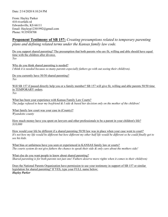From: Hayley Parker 410 riverfalls rd Edwardsville, KS 66111 Email: Hayleyp12301992@gmail.com Phone: 9135938708

# **Proponent Testimony of SB 157:** *Creating presumptions related to temporary parenting plans and defining related terms under the Kansas family law code.*

Do you support shared parenting? The presumption that both parents who are fit, willing and able should have equal time with the children after divorce. *Yes* 

Why do you think shared parenting is needed? *I think it is needed because so many parents especially fathers go with out seeing their child(ren).* 

Do you currently have 50/50 shared parenting? *Yes* 

Will SB 157 if passed directly help you or a family member? SB 157 will give fit, willing and able parents 50/50 time in TEMPORARY orders. *Yes* 

What has been your experience with Kansas Family Law Courts? *The judge refused to hear my boyfriend & I side & based her decision only on the mother of the children!* 

What family law court was your case in (County)? *Wyandotte county* 

How much money have you spent on lawyers and other professionals to be a parent in your children's life? *\$10,000* 

How would your life be different if a shared parenting 50/50 law was in place when your case went to court? *It's not how my life would be different but how different my other half life would be different so he could finally get to see his kids.* 

What bias or unfairness have you seen or experienced in KANSAS family law or courts? *The courts system do not give fathers the chance to speak their side & only care about the mothers side!* 

What else do you want people to know about shared parenting? *Shared parenting is for both parents not just one! Fathers deserve more rights when it comes to their child(ren)* 

Does the National Parents Organization have permission to use your testimony in support of SB 157 or similar legislation for shared parenting? If YES, type your FULL name below: *Hayley Parker*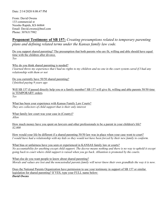From: David Owens 133 commercial st Neosho Rapids, KS 66864 Email: David.owens@bnsf.com Phone: 3076317982

# **Proponent Testimony of SB 157:** *Creating presumptions related to temporary parenting plans and defining related terms under the Kansas family law code.*

Do you support shared parenting? The presumption that both parents who are fit, willing and able should have equal time with the children after divorce. *Yes* 

Why do you think shared parenting is needed? *I learned threw my experience that I had no rights to my children and no one in the court system cared if I had any relationship with them or not* 

Do you currently have 50/50 shared parenting? *I finished paying 9 years ago* 

Will SB 157 if passed directly help you or a family member? SB 157 will give fit, willing and able parents 50/50 time in TEMPORARY orders. *Yes* 

What has been your experience with Kansas Family Law Courts? *They are collectors of child support that is their only interest* 

What family law court was your case in (County)? *Allen* 

How much money have you spent on lawyers and other professionals to be a parent in your children's life? *\$2,000* 

How would your life be different if a shared parenting 50/50 law was in place when your case went to court? *I would have had a relationship with my kids so they would not have been forced by their new family to conform.* 

What bias or unfairness have you seen or experienced in KANSAS family law or courts? *No accountability for anything except child support. The decree means nothing and there is no way to uphold it except going back to court where child support is raised when you go back. Alliantion is promoted by the courts.* 

What else do you want people to know about shared parenting? *Morals and values are lost and the noncustodial parents family will never know their own grandkids the way it is now.* 

Does the National Parents Organization have permission to use your testimony in support of SB 157 or similar legislation for shared parenting? If YES, type your FULL name below: *David Owens*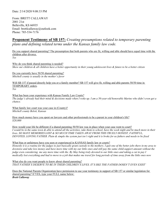From: BRETT CALLAWAY 2001 21st Belleville, KS 66935 Email: brettlcallaway@outlook.com Phone: 785-534-7176

## **Proponent Testimony of SB 157:** *Creating presumptions related to temporary parenting plans and defining related terms under the Kansas family law code.*

Do you support shared parenting? The presumption that both parents who are fit, willing and able should have equal time with the children after divorce. *Yes* 

Why do you think shared parenting is needed? *Show our children & all children have a better opportunity in their young adolescent lives & future to be a better citizen* 

Do you currently have 50/50 shared parenting? *Mitchell county is usually in the mother's favor* 

Will SB 157 if passed directly help you or a family member? SB 157 will give fit, willing and able parents 50/50 time in TEMPORARY orders.

*Yes* 

What has been your experience with Kansas Family Law Courts? *The judge's already had their mind & decisions made when I woke up. I am a 50-year-old honorable Marine who didn't even get a chance.* 

What family law court was your case in (County)? *Mitchell county Beloit, Kansas* 

How much money have you spent on lawyers and other professionals to be a parent in your children's life? *\$20,000* 

How would your life be different if a shared parenting 50/50 law was in place when your case went to court? *I would be in the same town & able to attend all the activities, take them to school, have the week night and be much more in their lives. SO MANY MEMORIES LOST & SO MUCH TIME TAKEN AWAY FROM THIS TRUELY HONEST, FAITHFUL, DEVOTED, LOVING FATHER. Plain & simple the system just isn't right and it is broke for us fathers and needs to be fixed* 

What bias or unfairness have you seen or experienced in KANSAS family law or courts?

*Honestly it is a routine for the judges to just basically grant custody to the mothers. I quit one of the better jobs there in my area to downsize and take less money and have more time with my our little ones and still pay the same child-support amount without the judge even considering me any more time with the. By May being truly devoted to our little ones and taking a cut in pay I medically lost everything and had to move to a job that makes me travel for long periods of time away from the little ones now* 

What else do you want people to know about shared parenting? *THAT FATHER'S DESERVE TO BE IN THEIR CHILDREN'S LIVES. IT'S lIKE THE FATHER DOSEN'T EVEN EXIST'* 

Does the National Parents Organization have permission to use your testimony in support of SB 157 or similar legislation for shared parenting? If YES, type your FULL name below: *Brett Callaway*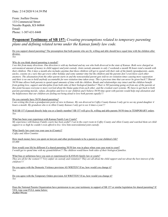From: Joellen Owens 133 Commercial Street Neosho Rapids, KS 66864 Email: Phone: 1-307-631-8448

## **Proponent Testimony of SB 157:** *Creating presumptions related to temporary parenting plans and defining related terms under the Kansas family law code.*

### Do you support shared parenting? The presumption that both parents who are fit, willing and able should have equal time with the children after divorce.

*Yes* 

#### Why do you think shared parenting is needed?

*I see this from many directions. One direction is with my husband and my son who both divorced in the state of Kansas. Both were charged an astronomical amount of money in child support and joint custody. Joint custody amounts to only 2 weekends a month 96 hours total a month with their children. This 4 days a month also includes anytime that these children will get to spend with their side of the family (grandparents, aunts, uncles, cousins etc.) sure they get every other holiday and some summer time but the children and the parents don't even know each other*  anymore. The alieanation from the other parent starts in and the noncustodial parent gets told no on visitation times causing more separation *and their is no one to hold anybody accountable for non visitation time taken away. This is precious time that can never be given back!!! Shared 50/50 time allows both parents to spend equal amounts of time with the children. Bonds and relationships stay intact and the children benefit from getting love, support and discipline from both sides of their biological families!! Their is NO parenting going on from any of the parents at this point because everyone is more worried about the blame game from each other, and the crooked court systems. We have to get back to both parents parenting morals, values, discipline and love to our children and I believe 50/50 time spent with parents would help stop alienation and the helplessness that our children are feeling not being aloud to love both parents equally!!!* 

#### Do you currently have 50/50 shared parenting?

*I am writing this from a grandparents point of view in Kansas. My son divorced in Coffey County Kansas I only get to see my grand daughter 4 hours a month. My grandson who is in Allen County Kansas I only get to see 4 times a year!!!* 

Will SB 157 if passed directly help you or a family member? SB 157 will give fit, willing and able parents 50/50 time in TEMPORARY orders. *Yes* 

#### What has been your experience with Kansas Family Law Courts?

*My experience with Kansas Family courts has been awful!! I sat in the court room in Coffey County and Allen County and watched them set child support to so high he couldn't even afford to live. Give him nonresidential joint custody.* 

What family law court was your case in (County)? *Coffey and Allen Counties* 

How much money have you spent on lawyers and other professionals to be a parent in your children's life? *\$5,000* 

How would your life be different if a shared parenting 50/50 law was in place when your case went to court? *I would get to spend time with my grandchildren!!! The children would know both sides of their biological families.* 

#### What bias or unfairness have you seen or experienced in KANSAS family law or courts?

*They are all for the women!!!! Very unfair on custody and visitation!! They are all about the child support and not about the best interest of the children!!!!* 

Do you agree with the Domestic Violence provision AS WRITEN? If no, how would you change it? *Yes* 

Do you agree with the Temporary Orders provision AS WRITTEN? If no, how would you change it? *Yes* 

Does the National Parents Organization have permission to use your testimony in support of SB 157 or similar legislation for shared parenting? If YES, type your FULL name below:

*Joellen Owens*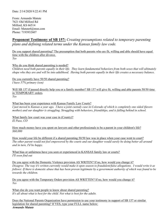From: Armando Matute 7621 Old Milford Rd Milford, KS 66514 Email: Matute6@msn.com Phone: 7193932607

## **Proponent Testimony of SB 157:** *Creating presumptions related to temporary parenting plans and defining related terms under the Kansas family law code.*

Do you support shared parenting? The presumption that both parents who are fit, willing and able should have equal time with the children after divorce. *Yes* 

Why do you think shared parenting is needed?

*Children need both parents equally in their life. They learn fundamental behaviors from both sexes that will ultimately shape who they are and will be into adulthood. Having both parents equally in their life creates a necessary balance.* 

Do you currently have 50/50 shared parenting? *I have 57% primary (son)* 

Will SB 157 if passed directly help you or a family member? SB 157 will give fit, willing and able parents 50/50 time in TEMPORARY orders. *Yes* 

What has been your experience with Kansas Family Law Courts? *I just moved to Kansas a year ago. I have a joint custody case in Colorado of which is completely one sided (favors mother) and our daughter is struggling. Struggling with behaviors, friendships, and is falling behind in school.* 

What family law court was your case in (County)? *El Paso, CO* 

How much money have you spent on lawyers and other professionals to be a parent in your children's life? *\$60,000* 

How would your life be different if a shared parenting 50/50 law was in place when your case went to court? *The other parent would not feel empowered by the courts and our daughter would surely be doing better all around and in turn, I'd be happy.* 

What bias or unfairness have you seen or experienced in KANSAS family law or courts? *I'll soon find out* 

Do you agree with the Domestic Violence provision AS WRITEN? If no, how would you change it? *Disagree. The way it's written currently would make it open season to fraudulent/false allegations. I would write it as follows: If there is domestic abuse that has been proven legitimate by a government authority of which was found to be towards the children.* 

Do you agree with the Temporary Orders provision AS WRITTEN? If no, how would you change it? *Yes* 

What else do you want people to know about shared parenting? *It's all about what is best for the child. Not what is best for the adults.* 

Does the National Parents Organization have permission to use your testimony in support of SB 157 or similar legislation for shared parenting? If YES, type your FULL name below: *Armando Matute*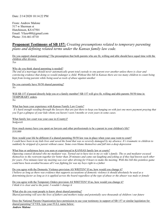Date: 2/14/2020 10:14:22 PM

From: Andrew Malone 517 w Sherman st Hutchinson, KS 67501 Email: Yfaze480@gmail.com Phone: 316-461-0710

## **Proponent Testimony of SB 157:** *Creating presumptions related to temporary parenting plans and defining related terms under the Kansas family law code.*

Do you support shared parenting? The presumption that both parents who are fit, willing and able should have equal time with the children after divorce.

*Yes* 

Why do you think shared parenting is needed?

*The end of a marriage should never automatically grant total custody to one parent over another unless there is clear and convincing evidence that doing so would endanger a child. Without this bill in Kansas there are too many children to count being kept from loving parents while being used as tools of abuse against another* 

Do you currently have 50/50 shared parenting? *No* 

Will SB 157 if passed directly help you or a family member? SB 157 will give fit, willing and able parents 50/50 time in TEMPORARY orders.

*No* 

What has been your experience with Kansas Family Law Courts?

*It's hard enough weeding through the lawyers that are just there to keep you hanging on with just one more payment praying that you'll get a glimpse of your kids whom you haven't seen I months or even years in some cases.* 

What family law court was your case in (County)? *Sedgwick* 

How much money have you spent on lawyers and other professionals to be a parent in your children's life? *\$10,000* 

How would your life be different if a shared parenting 50/50 law was in place when your case went to court? *I could have been in my kids lives and saved the bond that was so severely damaged by my absence. It's traumatic to children to suddenly be stripped of a parent without cause. Some even blame themselves and fall into a deep depression* 

What bias or unfairness have you seen or experienced in KANSAS family law or courts?

*Opposing counsel dictated who my mediator was. Turned out to have ties to my ex wife's family. The ex and mediator excused themselves to the restroom together for better than 20 minutes and came out laughing and joking as if they had known each other for years. Five minutes later my meeting was over after driving for 8 hours to make the meeting. With this bill this pointless game could have been avoided because all I was fighting for was my boys right to a father* 

Do you agree with the Domestic Violence provision AS WRITEN? If no, how would you change it? *I believe as long as there was evidence that supports accusations of domestic violence it should absolutely be used as a determining factor as long as it is applied across the board regardless of the type of abuse or the abuser was male or female* 

Do you agree with the Temporary Orders provision AS WRITTEN? If no, how would you change it? *I think it is clear and to the point. I wouldn't change it* 

What else do you want people to know about shared parenting? *Shared parenting will save the lives of fathers and mothers today and potentially save thousands of children i our future* 

Does the National Parents Organization have permission to use your testimony in support of SB 157 or similar legislation for shared parenting? If YES, type your FULL name below:

*Andrew Malone*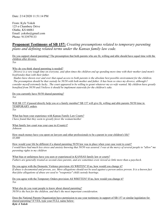Date: 2/14/2020 11:51:14 PM

From: Kyle Yoksh 125 n Chambery Drive Olathe, KS 66061 Email: yokshs@gmail.com Phone: 9133979133

## **Proponent Testimony of SB 157:** *Creating presumptions related to temporary parenting plans and defining related terms under the Kansas family law code.*

Do you support shared parenting? The presumption that both parents who are fit, willing and able should have equal time with the children after divorce.

*Yes* 

Why do you think shared parenting is needed?

*Divorce is a very tough time on everyone, and often times the children end up spending more time with their mother (and mom's boyfriends) than with their father.* 

*Studies have shown over and over that equal access to both parents is the absolute best possible environment for the children. The presumption should be that custody be 50/50 with both mother and father. It has been so since my divorce, although I consider myself extremely lucky.. The court appeared to be willing to grant whatever my ex-wife wanted. My children have greatly benefited from 50/50 and I believe it should be implement statewide for the children's sake.* 

Do you currently have 50/50 shared parenting? *Yes* 

Will SB 157 if passed directly help you or a family member? SB 157 will give fit, willing and able parents 50/50 time in TEMPORARY orders.

*Yes* 

What has been your experience with Kansas Family Law Courts? *I have found that they seem to greatly favor the woman/mother* 

What family law court was your case in (County)? *Johnson* 

How much money have you spent on lawyers and other professionals to be a parent in your children's life? *\$5,000* 

How would your life be different if a shared parenting 50/50 law was in place when your case went to court? *I would have had much less stress and anxiety knowing that 50/50 was assured. I was at the mercy of several people to "allow" me parenting rights to my children* 

What bias or unfairness have you seen or experienced in KANSAS family law or courts? *Fathers are generally treated as second-class parents, and are sometimes even viewed as little more than a paycheck.* 

Do you agree with the Domestic Violence provision AS WRITEN? If no, how would you change it? *If abuse is documented and proven, yes. Mere allegations should not be used against a person unless proven. It is a known fact that false allegations of abuse are used to "weaponize" child custody hearings.* 

Do you agree with the Temporary Orders provision AS WRITTEN? If no, how would you change it? *Yes* 

What else do you want people to know about shared parenting? *50/50 is the best for the children, and that's the most important consideration.* 

Does the National Parents Organization have permission to use your testimony in support of SB 157 or similar legislation for shared parenting? If YES, type your FULL name below: *Kyle A Yoksh*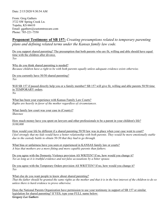From: Greg Gathers 3722 SW Spring Creek Ln. Topeka, KS 66610 Email: ggathers@customtreecare.com Phone: 785-221-7550

# **Proponent Testimony of SB 157:** *Creating presumptions related to temporary parenting plans and defining related terms under the Kansas family law code.*

Do you support shared parenting? The presumption that both parents who are fit, willing and able should have equal time with the children after divorce. *Yes* 

Why do you think shared parenting is needed? *Because children have a right to be with both parents equally unless adequate evidence exists otherwise.* 

Do you currently have 50/50 shared parenting? *Yes* 

Will SB 157 if passed directly help you or a family member? SB 157 will give fit, willing and able parents 50/50 time in TEMPORARY orders. *No* 

What has been your experience with Kansas Family Law Courts? *Rights are heavily in favor of the mother regardless of circumstances.* 

What family law court was your case in (County)? *Shawnee* 

How much money have you spent on lawyers and other professionals to be a parent in your children's life? *\$100,000* 

How would your life be different if a shared parenting 50/50 law was in place when your case went to court? *I feel strongly that my kids would have a better relationship with both parents. They would be more emotionally stable due to the custody battle to obtain 50-50 that they had to go through.* 

What bias or unfairness have you seen or experienced in KANSAS family law or courts? *A bias that mothers are a more fitting and more capable parents than fathers.* 

Do you agree with the Domestic Violence provision AS WRITEN? If no, how would you change it? *Yes as long as it is truthful evidence and not false accusations by a bitter spouse.* 

Do you agree with the Temporary Orders provision AS WRITTEN? If no, how would you change it? *Yes* 

What else do you want people to know about shared parenting? *That the father should be granted the same rights as the mother and that it is in the best interest of the children to do so unless there is hard evidence to prove otherwise.* 

Does the National Parents Organization have permission to use your testimony in support of SB 157 or similar legislation for shared parenting? If YES, type your FULL name below: *Gregory Lee Gathers*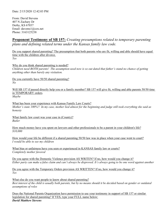From: David Stevens 407 N Zachary Dr Derby, KS 67037 Email: davems1@cox.net Phone: 3163125238

# **Proponent Testimony of SB 157:** *Creating presumptions related to temporary parenting plans and defining related terms under the Kansas family law code.*

Do you support shared parenting? The presumption that both parents who are fit, willing and able should have equal time with the children after divorce. *Yes* 

Why do you think shared parenting is needed? *Children need BOTH parents! The assumption used now is so out dated that father's stand no chance of getting anything other than barely any visitation.* 

Do you currently have 50/50 shared parenting? *No* 

Will SB 157 if passed directly help you or a family member? SB 157 will give fit, willing and able parents 50/50 time in TEMPORARY orders. *Maybe* 

What has been your experience with Kansas Family Law Courts? *Mother's state 100%!! In my case, mother lied almost for the beginning and judge still took everything she said as honesty* 

What family law court was your case in (County)? *Butler* 

How much money have you spent on lawyers and other professionals to be a parent in your children's life? *\$10,000* 

How would your life be different if a shared parenting 50/50 law was in place when your case went to court? *I would be able to see my children* 

What bias or unfairness have you seen or experienced in KANSAS family law or courts? *Completely mother favored* 

Do you agree with the Domestic Violence provision AS WRITEN? If no, how would you change it? *Either party can make a false claim and can't always be disproved. It's always going to be one word against another* 

Do you agree with the Temporary Orders provision AS WRITTEN? If no, how would you change it? *Yes* 

What else do you want people to know about shared parenting? *Best interest of the child is usually both parents, but by no means should it be decided based on gender or outdated assumptions of roles* 

Does the National Parents Organization have permission to use your testimony in support of SB 157 or similar legislation for shared parenting? If YES, type your FULL name below: *David Matthew Stevens*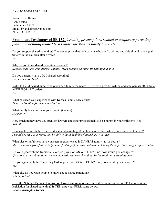From: Brian Helms 1909 s anna Eichita, KS 67209 Email: brian.helms@yahoo.com Phone: 3168061101

# **Proponent Testimony of SB 157:** *Creating presumptions related to temporary parenting plans and defining related terms under the Kansas family law code.*

Do you support shared parenting? The presumption that both parents who are fit, willing and able should have equal time with the children after divorce. *Yes* 

Why do you think shared parenting is needed? *Because kids need both parents equally, given that the parent is fit, willing and able.* 

Do you currently have 50/50 shared parenting? *Every other weekend* 

Will SB 157 if passed directly help you or a family member? SB 157 will give fit, willing and able parents 50/50 time in TEMPORARY orders. *Yes* 

What has been your experience with Kansas Family Law Courts? *They are horrible for men with children.* 

What family law court was your case in (County)? *District 18* 

How much money have you spent on lawyers and other professionals to be a parent in your children's life? *\$10,000* 

How would your life be different if a shared parenting 50/50 law was in place when your case went to court? *I would see my 2 kids more, and be able to build healthy relationships with them.* 

What bias or unfairness have you seen or experienced in KANSAS family law or courts? *My ex wife was given full custody on the first day of the case, without me having the opportunity to get representation* 

Do you agree with the Domestic Violence provision AS WRITEN? If no, how would you change it? *If all court order obligations are met, domestic violence should not be factored into parenting time.* 

Do you agree with the Temporary Orders provision AS WRITTEN? If no, how would you change it? *Yes* 

What else do you want people to know about shared parenting? *It is important* 

Does the National Parents Organization have permission to use your testimony in support of SB 157 or similar legislation for shared parenting? If YES, type your FULL name below: *Brian Christopher Helms*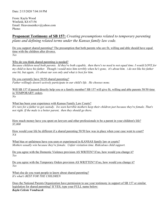From: Kayla Wood Winfield, KS 67156 Email: Heavensentkcv@yahoo.com Phone:

**Proponent Testimony of SB 157:** *Creating presumptions related to temporary parenting plans and defining related terms under the Kansas family law code.*

Do you support shared parenting? The presumption that both parents who are fit, willing and able should have equal time with the children after divorce. *Yes* 

Why do you think shared parenting is needed?

*Because children need both parents. Id they're both capable, then there's no need to not equal time. I would LOVE for my child to have his father. Though i would miss him terribly when he's gone, it's about him. i do not like his father one bit, but again, it's about our son only and what is best for him.* 

Do you currently have 50/50 shared parenting? *Father willingly doesn't actively participate in our child's life. He chooses none.* 

Will SB 157 if passed directly help you or a family member? SB 157 will give fit, willing and able parents 50/50 time in TEMPORARY orders. *No* 

What has been your experience with Kansas Family Law Courts? *It's rare for a father to get custody. Ive seen horrible mothers keep their children just because they're female. That's not right. If the male is a better parent, then they should go there.* 

How much money have you spent on lawyers and other professionals to be a parent in your children's life? *\$5,000* 

How would your life be different if a shared parenting 50/50 law was in place when your case went to court? *NA* 

What bias or unfairness have you seen or experienced in KANSAS family law or courts? *Mothers usually win because they're female. Unfair visitation time. Ridiculous child support.* 

Do you agree with the Domestic Violence provision AS WRITEN? If no, how would you change it? *Yes* 

Do you agree with the Temporary Orders provision AS WRITTEN? If no, how would you change it? *Yes* 

What else do you want people to know about shared parenting? *It's what's BEST FOR THE CHILDREN* 

Does the National Parents Organization have permission to use your testimony in support of SB 157 or similar legislation for shared parenting? If YES, type your FULL name below: *Kayla Celeste Vondracek*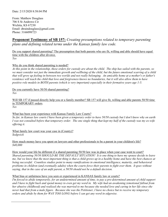From: Matthew Douglass 706 S St Andrews Cir Wichita, KS 67230 Email: dtraindouglass@gmail.com Phone: 3166098723

# **Proponent Testimony of SB 157:** *Creating presumptions related to temporary parenting plans and defining related terms under the Kansas family law code.*

Do you support shared parenting? The presumption that both parents who are fit, willing and able should have equal time with the children after divorce. *Yes* 

## Why do you think shared parenting is needed?

*At this point in the relationship, these orders for custody are about the child. The ship has sailed with the parents, so we must consider not just the immediate growth and wellbeing of the child, but the future emotional scarring of a child that will grow up feeling in-between two worlds and not really belonging. An amicable home at a mother's or father's* residence will teach the child that love and forgiveness knows no boundaries, but it will also allow them to have *positive role models in BOTH parents (which is very important) especially in their formative years age 1-5.* 

Do you currently have 50/50 shared parenting? *Yes* 

Will SB 157 if passed directly help you or a family member? SB 157 will give fit, willing and able parents 50/50 time in TEMPORARY orders. *Yes* 

 $\overline{a}$ 

### What has been your experience with Kansas Family Law Courts?

*So far, in Kansas law courts I have been given a temporary order to have 50/50 custody but I don't know why on earth I was not consulted before that temporary order. The one single thing that kept my half of the custody was my ex-wife offering it.* 

What family law court was your case in (County)? *Sedgwick* 

How much money have you spent on lawyers and other professionals to be a parent in your children's life? *\$40,000* 

### How would your life be different if a shared parenting 50/50 law was in place when your case went to court?

*Shared parenting 50/50 SHOULD BE THE DEFAULT SITUATION! It is one thing to have my spouse decide to leave me, but we know that the most important thing is that a child grows up in a healthy home and have the best chances at being successful. Countless studies point to many ramifications in emotional intelligence, maturity, and behavioral problems in children (and eventually adults) when the courts force their parents to fight over them. It goes without saying, that in the case of an unfit parent, a 50/50 should not be a default decision.* 

### What bias or unfairness have you seen or experienced in KANSAS family law or courts?

*I'm forced to abide temporarily, for an undetermined amount of time, to pay a pre-determined amount of child support and I have to fight back and spend money to even get my word in. My wife had an awakening (emotional fallout from her abusive childhood) and realized she was married to me because she needed love and caring in her life since she never had that from a male figure. Because she was the Petitioner, I have no choice but to receive my temporary orders and abide by them for WAY TOO LONG before I can get any word in edgewise.*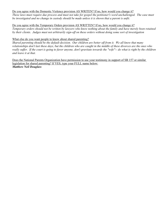### Do you agree with the Domestic Violence provision AS WRITEN? If no, how would you change it?

*These laws must require due process and must not take for gospel the petitioner's word unchallenged. The case must be investigated and no change in custody should be made unless it is shown that a parent is unfit.* 

### Do you agree with the Temporary Orders provision AS WRITTEN? If no, how would you change it?

*Temporary orders should not be written by lawyers who know nothing about the family and have merely been retained by their clients. Judges must not arbitrarily sign-off on these orders without doing some sort of investigation* 

### What else do you want people to know about shared parenting?

*Shared parenting should be the default decision. Our children are better off from it. We all know that many relationships don't last these days, but the children who are caught in the middle of these divorces are the ones who*  really suffer. If the court is going to favor anyone, don't gravitate towards the "wife"-- do what is right by the children *and leave it at that.* 

Does the National Parents Organization have permission to use your testimony in support of SB 157 or similar legislation for shared parenting? If YES, type your FULL name below: *Matthew Neil Douglass*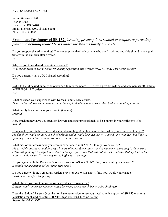From: Steven O'Neil 1685 E Road Baileyville, KS 66404 Email: av8rsteve2003@yahoo.com Phone: 7857994095

# **Proponent Testimony of SB 157:** *Creating presumptions related to temporary parenting plans and defining related terms under the Kansas family law code.*

Do you support shared parenting? The presumption that both parents who are fit, willing and able should have equal time with the children after divorce. *Yes* 

Why do you think shared parenting is needed? *To focus on what is best for children during separation and divorce by STARTING with 50/50 custody.* 

Do you currently have 50/50 shared parenting? *20%* 

Will SB 157 if passed directly help you or a family member? SB 157 will give fit, willing and able parents 50/50 time in TEMPORARY orders. *Yes* 

What has been your experience with Kansas Family Law Courts? *They are biased toward mothers as the primary physical custodian, even when both are equally fit parents.* 

What family law court was your case in (County)? *Marshall* 

How much money have you spent on lawyers and other professionals to be a parent in your children's life? *\$70,000* 

How would your life be different if a shared parenting 50/50 law was in place when your case went to court? *My daughter would not have switched schools and it would be much easier to spend time with her - but I'm still spending as much time with her as my ex will allow me to.* 

What bias or unfairness have you seen or experienced in KANSAS family law or courts? *My ex-wife's attorney stated that my 25 years of honorable military service made me controlling in the marital relationship; Judge Weingart looked me in the eye after I said that was not the case and said that my time in the military made me an "it's my way or the highway" type of guy.* 

Do you agree with the Domestic Violence provision AS WRITEN? If no, how would you change it? *It should require actual police report type proof.* 

Do you agree with the Temporary Orders provision AS WRITTEN? If no, how would you change it? *I wish it was not just temporary.* 

What else do you want people to know about shared parenting? *It significantly improves communication between parents which benefits the child(ren).* 

Does the National Parents Organization have permission to use your testimony in support of SB 157 or similar legislation for shared parenting? If YES, type your FULL name below: *Steven Patrick O'Neil*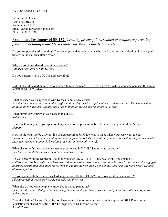From: Jarod Howard 1703 N Murray st Wichita, KS 67212 Email: Jarod\_howard@yahoo.com Phone: 8132105930

# **Proponent Testimony of SB 157:** *Creating presumptions related to temporary parenting plans and defining related terms under the Kansas family law code.*

Do you support shared parenting? The presumption that both parents who are fit, willing and able should have equal time with the children after divorce. *Yes* 

Why do you think shared parenting is needed? *Children need best of both worlds.* 

Do you currently have 50/50 shared parenting? *Yes* 

Will SB 157 if passed directly help you or a family member? SB 157 will give fit, willing and able parents 50/50 time in TEMPORARY orders. *Yes* 

What has been your experience with Kansas Family Law Courts? *Ex submitted papers and automatically given all the days, with exception of every other weekend. Yet, her schedule allowed me to have them equally and I had to fight the system and my attorneys to win.* 

What family law court was your case in (County)? *Sedgewhick* 

How much money have you spent on lawyers and other professionals to be a parent in your children's life? *\$8,000* 

How would your life be different if a shared parenting 50/50 law was in place when your case went to court? *I would have spent less time pledding for more days with my kids. Less late stay up late to scrutinize legal documents. Less debt occurred ultimately benefiting the kids and my quality of life.* 

What bias or unfairness have you seen or experienced in KANSAS family law or courts? *Felt like a second class citizen. Less than equal as a person.* 

Do you agree with the Domestic Violence provision AS WRITEN? If no, how would you change it? *Children must be keep safe, but I have heard that the mother was granted custody when she is the one heavily engaged*  in drugs, prostitution, and much more. How to change the verbiage, I don't know. Less hear-say more proof. Defined *abused definition.* 

Do you agree with the Temporary Orders provision AS WRITTEN? If no, how would you change it? *I disagree with it, based on hearing one side and their view.* 

What else do you want people to know about shared parenting? *I fear that the values that good fathers bring have been stripped away from several generations. It's time to finally make it right.* 

Does the National Parents Organization have permission to use your testimony in support of SB 157 or similar legislation for shared parenting? If YES, type your FULL name below: *Jarod Howard*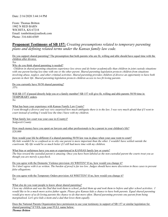From: Thomas Britton 1902 N RED BARN WICHITA, KS 67218 Email: tombritton@outlook.com Phone: 316-644-6569

## **Proponent Testimony of SB 157:** *Creating presumptions related to temporary parenting plans and defining related terms under the Kansas family law code.*

Do you support shared parenting? The presumption that both parents who are fit, willing and able should have equal time with the children after divorce.

*Yes* 

Why do you think shared parenting is needed?

*Children in shared parenting situations experience less stress and do better academically than children in joint custody situations with one parent having less time with one or the other parent. Shared parenting legislation protects children from situations involving abuse, neglect, and other criminal activities. Shared parenting provides children of divorce an opportunity to have both parents in their life. Shared parenting legislation protects children access to two fit loving parents.* 

Do you currently have 50/50 shared parenting? *35%* 

Will SB 157 if passed directly help you or a family member? SB 157 will give fit, willing and able parents 50/50 time in TEMPORARY orders.

*No* 

What has been your experience with Kansas Family Law Courts?

*I went through a divorce and was very surprised how much ambiguity there is to the law. I was very much afraid that if I went to court instead of settling I would lose the time I have with my children.* 

What family law court was your case in (County)? *Sedgwick County* 

How much money have you spent on lawyers and other professionals to be a parent in your children's life? *\$20,000* 

How would your life be different if a shared parenting 50/50 law was in place when your case went to court? *My kids wouldn't be so confused as to why one parent is more important than the other. I wouldn't have settled outside the courtroom. My life would be so much better if I still had more time with my children.* 

What bias or unfairness have you seen or experienced in KANSAS family law or courts? *The bias toward the custodial parent is amazing. Once you have been labeled as the non-custodial parent the courts treat you as though you are merely a paycheck.* 

Do you agree with the Domestic Violence provision AS WRITEN? If no, how would you change it? *No I don't agree with it as written. The burden of proof is far too low. Judges should have more discretion in these cases to prevent false allegations.* 

Do you agree with the Temporary Orders provision AS WRITTEN? If no, how would you change it? *Yes* 

What else do you want people to know about shared parenting?

*I love my children and was the Dad that took them to school, picked them up and took them to before and after school activities. I would like to be a much more active father again. Please give Kansas kids a chance to have both parents. Equal shared parenting would give more of us fit loving parents the chance to do that more often. Shared parenting prevents one parent from being marginalized. Let's give kids a mom and a dad that loves them equally.* 

Does the National Parents Organization have permission to use your testimony in support of SB 157 or similar legislation for shared parenting? If YES, type your FULL name below: *Thomas Britton*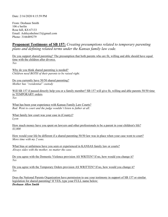Date: 2/16/2020 8:15:59 PM

From: Deshaun Smith 106 e berlin Rose hill, KS 67133 Email: Ashleynhelms13@gmail.com Phone: 3166489279

**Proponent Testimony of SB 157:** *Creating presumptions related to temporary parenting plans and defining related terms under the Kansas family law code.*

Do you support shared parenting? The presumption that both parents who are fit, willing and able should have equal time with the children after divorce. *Yes* 

Why do you think shared parenting is needed? *Children need BOTH of their parents to be raised right.* 

Do you currently have 50/50 shared parenting? *Mother has "residential" custody* 

Will SB 157 if passed directly help you or a family member? SB 157 will give fit, willing and able parents 50/50 time in TEMPORARY orders. *Yes* 

What has been your experience with Kansas Family Law Courts? *Bad. Went to court and the judge wouldn't listen to father at all.* 

What family law court was your case in (County)? *Lyon* 

How much money have you spent on lawyers and other professionals to be a parent in your children's life? *\$3,000* 

How would your life be different if a shared parenting 50/50 law was in place when your case went to court? *More time with my 2 sons.* 

What bias or unfairness have you seen or experienced in KANSAS family law or courts? *Always sides with the mother, no matter the case.* 

Do you agree with the Domestic Violence provision AS WRITEN? If no, how would you change it? *Yes* 

Do you agree with the Temporary Orders provision AS WRITTEN? If no, how would you change it? *Yes* 

Does the National Parents Organization have permission to use your testimony in support of SB 157 or similar legislation for shared parenting? If YES, type your FULL name below: *Deshaun Allen Smith*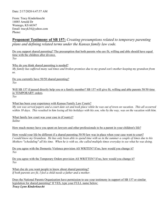From: Tracy Kinderknecht 14085 Arnold Dr Wamego, KS 66547 Email: tracyk34@yahoo.com Phone:

# **Proponent Testimony of SB 157:** *Creating presumptions related to temporary parenting plans and defining related terms under the Kansas family law code.*

Do you support shared parenting? The presumption that both parents who are fit, willing and able should have equal time with the children after divorce. *Yes* 

Why do you think shared parenting is needed? *My family has suffered many sad times and broken promises due to my grand son's mother keeping my grandson from us.* 

Do you currently have 50/50 shared parenting? *Yes* 

Will SB 157 if passed directly help you or a family member? SB 157 will give fit, willing and able parents 50/50 time in TEMPORARY orders. *Yes* 

What has been your experience with Kansas Family Law Courts? *My son was served papers and a court date set and took place while he was out of town on vacation. This all occurred within 10 days. This resulted in him losing all his holidays with his son, who by the way, was on the vacation with him.* 

What family law court was your case in (County)? *Saline* 

How much money have you spent on lawyers and other professionals to be a parent in your children's life?

How would your life be different if a shared parenting 50/50 law was in place when your case went to court? *I would know my Grandson. He has only been able to spend time with us in the summer a couple of times due to his Mothers "scheduling" all his time. When he is with us, she called multiple times everyday to see what he was doing.* 

Do you agree with the Domestic Violence provision AS WRITEN? If no, how would you change it? *Yes* 

Do you agree with the Temporary Orders provision AS WRITTEN? If no, how would you change it? *Yes* 

What else do you want people to know about shared parenting? *If both parents are fit, I feel a child needs a father and a mother.* 

Does the National Parents Organization have permission to use your testimony in support of SB 157 or similar legislation for shared parenting? If YES, type your FULL name below: *Tracy Lynn Kinderknecht*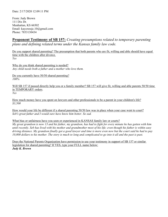From: Judy Brown 111 Dix Dr. Manhattan, KS 66502 Email: kaycressjc.10@gmail.com Phone: 7853130434

# **Proponent Testimony of SB 157:** *Creating presumptions related to temporary parenting plans and defining related terms under the Kansas family law code.*

Do you support shared parenting? The presumption that both parents who are fit, willing and able should have equal time with the children after divorce. *Yes* 

Why do you think shared parenting is needed? *Any child needs both a father and a mother who love them.* 

Do you currently have 50/50 shared parenting? *100%* 

Will SB 157 if passed directly help you or a family member? SB 157 will give fit, willing and able parents 50/50 time in TEMPORARY orders. *Yes* 

How much money have you spent on lawyers and other professionals to be a parent in your children's life? *\$3,500* 

How would your life be different if a shared parenting 50/50 law was in place when your case went to court? *Seb's great father and I would sure have know him better. So sad.* 

What bias or unfairness have you seen or experienced in KANSAS family law or courts?

*My great grandson is now 13 and his father, my grandson, has had to fight for every minute he has gotten with him until recently. Seb has lived with his mother and grandmother most of his life; even though his father is within easy driving distance. My grandson finally got a good lawyer and time is more even now but the court said he had to pay 10,000 dollars to his mother. The story is much to long and complicated to go into it all and the past is past.* 

Does the National Parents Organization have permission to use your testimony in support of SB 157 or similar legislation for shared parenting? If YES, type your FULL name below: *Judy K. Brown*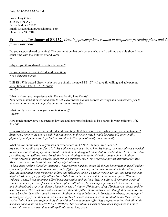From: Troy Oliver 2715 E. Vine AVE Parkerfield, KS 67005 Email: Dragginhunter201@hotmail.com Phone: 817 683 7188

# **Proponent Testimony of SB 157:** *Creating presumptions related to temporary parenting plans and def*

*family law code.*

Do you support shared parenting? The presumption that both parents who are fit, willing and able should have equal time with the children after divorce. *Yes* 

Why do you think shared parenting is needed?

Do you currently have 50/50 shared parenting? *4 to 5 days per month* 

Will SB 157 if passed directly help you or a family member? SB 157 will give fit, willing and able parents 50/50 time in TEMPORARY orders. *Maybe* 

What has been your experience with Kansas Family Law Courts?

*They seem somewhat biased and slow to act. Have waited months between hearings and conferences, just to have no action taken, while paying thousands in attorney fees.* 

What family law court was your case in (County)? *Cowley* 

How much money have you spent on lawyers and other professionals to be a parent in your children's life? *\$50,000* 

How would your life be different if a shared parenting 50/50 law was in place when your case went to court? *Simply put, none of the above would have happened in the same way. I would be better off, emotionally, physically, and financially. My children would be better off emotionally, and physically.* 

### What bias or unfairness have you seen or experienced in KANSAS family law or courts?

*My wife filed for divorce in Jan. 2019. My children were awarded to her. My house, (pre-marital)was awarded*  to her. I was ordered to pay an inordinate amount of child support (immediately) and still am. I was ordered to *pay alimony, and still am, even though she is cohabitating with her boyfriend... along with my children.* 

 *I was ordered to pay all services, taxes, vehicle expenses, etc. I was ordered to pay all insurances for kids. My tax return was ordered into trust of my wife's attorney.* 

 *I have done nothing illegal or immoral. I have worked hard my entire life for the betterment of myself and my community. I've served my community as a firefighter/ paramedic, and served my country in the military. In fact, the separation stems from HER affairs and substance abuse, I went to work every day and came home at night. I took care of my family, all the household bills and expenses, which I now cannot afford. (But am ordered to pay). I can no longer afford basic necessities such as food, fuel, or utilities. Everything is behind which is a new experience for me. I'm bankrupt, for all intents, because my wife wanted to turn our marriage and children's life's up- side- down. Meanwhile, she's living on 570 dollars of my 720 dollar paycheck, and I'm near homeless. The court does not seem to care about the father of my children even though they claim to want what's best for them. How does it serve my children, having a father that is homeless, bankrupt, and relegated to being just a guy who they visit every other weekend? There is much more to my situation but these are the*  basics. I also have been so financially drained that I can no longer afford legal representation. And all of this *has been done to me on TEMPORARY ORDERS. The constitution seems to have been suspended in family court. I do not have a trial date until April. It's not looking good.*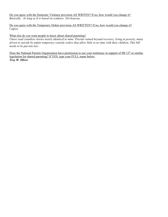Do you agree with the Domestic Violence provision AS WRITEN? If no, how would you change it? *Basically. As long as It is based on evidence. Not hearsay.* 

Do you agree with the Temporary Orders provision AS WRITTEN? If no, how would you change it? *I agree.* 

#### What else do you want people to know about shared parenting?

*I have read countless stories nearly identical to mine. Parents ruined beyond recovery, living in poverty, many driven to suicide by unfair temporary custody orders that allow little to no time with their children. This bill needs to be put into law.* 

Does the National Parents Organization have permission to use your testimony in support of SB 157 or similar legislation for shared parenting? If YES, type your FULL name below: *Troy W. Oliver*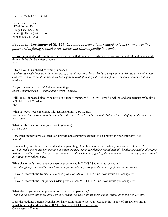Date: 2/17/2020 3:51:03 PM

From: Cesar Torres 11780 Pointer Rd Dodge City, KS 67801 Email: jjt\_8910@hotmail.com Phone: 620-253-0408

### **Proponent Testimony of SB 157:** *Creating presumptions related to temporary parenting plans and defining related terms under the Kansas family law code.*

Do you support shared parenting? The presumption that both parents who are fit, willing and able should have equal time with the children after divorce. *Yes* 

Why do you think shared parenting is needed?

*I believe its needed because there are alot of great fathers out there who have very minimal visitation time with their children. I believe children also need that equal amount of time spent with their fathers as much as they need their mothers.* 

Do you currently have 50/50 shared parenting? *Every other weekend. A couple hours every Tuesday.* 

Will SB 157 if passed directly help you or a family member? SB 157 will give fit, willing and able parents 50/50 time in TEMPORARY orders. *Yes* 

What has been your experience with Kansas Family Law Courts? *Been to court three times and have not been the best. Feel like I been cheated alot of time out of my son's life for 9 years now.* 

What family law court was your case in (County)? *Ford County* 

How much money have you spent on lawyers and other professionals to be a parent in your children's life? *\$30,000* 

How would your life be different if a shared parenting 50/50 law was in place when your case went to court? *It would make our father/son bonding so much greater. My other children would actually be able to spend quality time*  with their brother rather than just a few hours. Would make family get togethers so much easier and enjoyable without *having to worry about time.* 

What bias or unfairness have you seen or experienced in KANSAS family law or courts? *Even though my son's mother and I are both fit parents they still gave the majority of time to his mother.* 

Do you agree with the Domestic Violence provision AS WRITEN? If no, how would you change it? *Yes* 

Do you agree with the Temporary Orders provision AS WRITTEN? If no, how would you change it? *Yes* 

What else do you want people to know about shared parenting? *That shared parenting is the best way to go when you have both fit parents that want to be in their child's life.* 

Does the National Parents Organization have permission to use your testimony in support of SB 157 or similar legislation for shared parenting? If YES, type your FULL name below: *Cesar Alonso Torres*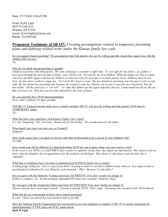Date: 2/17/2020 5:40:49 PM

From: Kylie Ligjt 2632 S Lulu Ave Wichita, KS 67216 Email: Kylewlight@icloud.com Phone: 3163903265

### **Proponent Testimony of SB 157:** *Creating presumptions related to temporary parenting plans and defining related terms under the Kansas family law code.*

Do you support shared parenting? The presumption that both parents who are fit, willing and able should have equal time with the children after divorce.

*Yes* 

#### Why do you think shared parenting is needed?

*Children need time with both parents. The state of Kansas is a mother's right state. It's not right for the fathers. As a father, I have been through the atrocity that is family court. I hold a job. Provide for my own children. While the judges say that a woman who lives off child support and has my children on state tax roles for insurance is a better parent. In my childrens short 6 year lives, she has never worked a single day. Yet I work 40+ hours a week. She has denied me parenting time because I work second shift. She has denied me parenting time because she wanted to take my children out of state to meet her now boyfriend, that she met online. All the court says is "oh well". It's time that fathers get the equal right they deserve. I understand not all are like me. But a lot more are. They have just became defeated by the court systems.* 

# Do you currently have 50/50 shared parenting?

*Every other weekend. Fri 6pm-sun 6pm* 

Will SB 157 if passed directly help you or a family member? SB 157 will give fit, willing and able parents 50/50 time in TEMPORARY orders.

*Yes* 

What has been your experience with Kansas Family Law Courts? *It's sick. Disgusting. Vile. Atrocious. Based only for the mother. No consideration for the father.* 

What family law court was your case in (County)? *Sedgwick* 

How much money have you spent on lawyers and other professionals to be a parent in your children's life? *\$22,000* 

How would your life be different if a shared parenting 50/50 law was in place when your case went to court? In the event it was 50/50, it would FORCE their mother to coparent. At this time, she refuses me information. She refuses to let me *know when my daughter has an appointment for the pediatric cardiologist. She refuses to talk about issues because she is 'offended'.* 

What bias or unfairness have you seen or experienced in KANSAS family law or courts? *A sitting judge telling me "you're crazy if you think I'm going to send two newborn children home with you. You ought to have a psychological evaluation for even filing for such nonsense". Why? Because I'm the father?* 

Do you agree with the Domestic Violence provision AS WRITEN? If no, how would you change it? *If there is evidence, yes. An unwarranted, unfounded PFA does not constitute 'domestic abuse'.* 

Do you agree with the Temporary Orders provision AS WRITTEN? If no, how would you change it? *Parents already have 'joint legal custody'. Custody is already 50/50. That's legal. Parenting time should be joint 50/50 shared.* 

What else do you want people to know about shared parenting? *It's fair. Unless one parent has been deemed unfit to provide.* 

Does the National Parents Organization have permission to use your testimony in support of SB 157 or similar legislation for shared parenting? If YES, type your FULL name below: *Kylie W Light*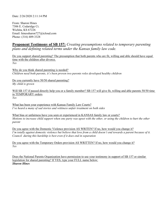Date: 2/26/2020 2:11:14 PM

From: Sharon Hines 7306 E. Cedaridge Ct. Wichita, KS 67226 Email: hinessharon727@icloud.com Phone: (316) 409-3328

### **Proponent Testimony of SB 157:** *Creating presumptions related to temporary parenting plans and defining related terms under the Kansas family law code.*

Do you support shared parenting? The presumption that both parents who are fit, willing and able should have equal time with the children after divorce. *Yes* 

Why do you think shared parenting is needed? *Children need both parents, it's been proven two parents roles developed healthy children* 

Do you currently have 50/50 shared parenting? *My child is grown* 

Will SB 157 if passed directly help you or a family member? SB 157 will give fit, willing and able parents 50/50 time in TEMPORARY orders. *Yes* 

What has been your experience with Kansas Family Law Courts? *I've heard a many of sad stories and wittiness unfair treatment on both sides* 

What bias or unfairness have you seen or experienced in KANSAS family law or courts? *Motions to increase child support when one party was upset with the other, or using the children to hurt the other parent* 

Do you agree with the Domestic Violence provision AS WRITEN? If no, how would you change it? *I'm totally against domestic violence but believe that love from a child doesn't end towards a parent because of it. Council during this hardship is best even if it does end in separation* 

Do you agree with the Temporary Orders provision AS WRITTEN? If no, how would you change it? *Yes* 

Does the National Parents Organization have permission to use your testimony in support of SB 157 or similar legislation for shared parenting? If YES, type your FULL name below: *Sharon Hines*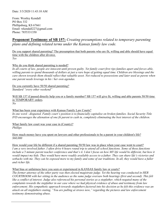From: Westley Kendall PO Box 332 Phillipsburg, KS 67661 Email: wkendall227@gmail.com Phone: 7855331350

# **Proponent Testimony of SB 157:** *Creating presumptions related to temporary parenting plans and defining related terms under the Kansas family law code.*

Do you support shared parenting? The presumption that both parents who are fit, willing and able should have equal time with the children after divorce. *Yes* 

#### Why do you think shared parenting is needed?

*In all courts of law, people are innocent until proven guilty. Yet family court first rips families apart and forces able, willing parents to spend thousands of dollars at just a rare hope of getting equal time. Children are blessings and the care shown towards them should reflect that valuable asset. Not reduced to possessions and later used as pawns when one parent needs leverage in his / her own agendas.* 

Do you currently have 50/50 shared parenting? *Standard "every other weekend"* 

Will SB 157 if passed directly help you or a family member? SB 157 will give fit, willing and able parents 50/50 time in TEMPORARY orders. *No* 

What has been your experience with Kansas Family Law Courts?

*In one word - disgusted. Family court's position is to financially capitalize on broken families. Social Security Title IVD encourages the alienation of one fit parent to cash in, completely eliminating the best interest of the children.* 

What family law court was your case in (County)? *Phillips* 

l

How much money have you spent on lawyers and other professionals to be a parent in your children's life? *\$60,000* 

How would your life be different if a shared parenting 50/50 law was in place when your case went to court? *I am a very involved father. I often drive 6 hours round trip to attend all school functions. Some of those functions*  include a 5 minute parent teacher conference and that's it. I don't focus on how MY life would be different, but how it *would impact my kids. They would have more readily available access to a father. They can share life's victories and setbacks with me. They can be exposed more to my family and some of our traditions. In all, they would have a fuller and richer life.* 

#### What bias or unfairness have you seen or experienced in KANSAS family law or courts?

*The former attorney of the other party was then elected magistrate judge. Yet the hearing was conducted in HER COURTROOM with her sitting in the audience as the same judge oversaw both hearings (first and second). This felt*  like a conflict of interest. Judge also referenced his personal stories as a stepfather, which negated many of the *complaints towards the stepfather in our case where we had physical evidence of abuse and testimony from law enforcement. His sympathetic approach towards stepfathers factored into his decision as he felt this evidence was an attack on all stepfathers stating, "You are pulling at straws now," regarding the pictures and law enforcement testimony demonstrating abuse.*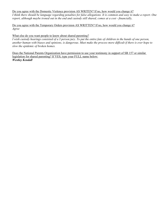#### Do you agree with the Domestic Violence provision AS WRITEN? If no, how would you change it?

*I think there should be language regarding penalties for false allegations. It is common and easy to make a report. One report, although maybe ironed out in the end and custody still shared, comes at a cost - financially,* 

Do you agree with the Temporary Orders provision AS WRITTEN? If no, how would you change it? *Agree* 

#### What else do you want people to know about shared parenting?

*I wish custody hearings consisted of a 3 person jury. To put the entire fate of children in the hands of one person, another human with biases and opinions, is dangerous. Must make the process more difficult if there is ever hope to slow the epidemic of broken homes.* 

Does the National Parents Organization have permission to use your testimony in support of SB 157 or similar legislation for shared parenting? If YES, type your FULL name below: *Westley Kendall*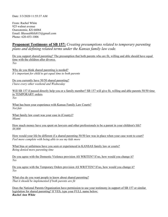Date: 3/3/2020 11:55:37 AM

From: Rachel White 925 walnut avenue Osawatomie, KS 66064 Email: Blessed4life815@gmail.com Phone: 620-453-1006

### **Proponent Testimony of SB 157:** *Creating presumptions related to temporary parenting plans and defining related terms under the Kansas family law code.*

Do you support shared parenting? The presumption that both parents who are fit, willing and able should have equal time with the children after divorce. *Yes* 

Why do you think shared parenting is needed? *It's important for child to get equal time to both parents* 

Do you currently have 50/50 shared parenting? *I have every other weekend and Wednesday* 

Will SB 157 if passed directly help you or a family member? SB 157 will give fit, willing and able parents 50/50 time in TEMPORARY orders. *Yes* 

What has been your experience with Kansas Family Law Courts? *Not fair* 

What family law court was your case in (County)? *Miami* 

How much money have you spent on lawyers and other professionals to be a parent in your children's life? *\$8,000* 

How would your life be different if a shared parenting 50/50 law was in place when your case went to court? *Feel more complete with being able to see my kids more* 

What bias or unfairness have you seen or experienced in KANSAS family law or courts? *Being denied more parenting time* 

Do you agree with the Domestic Violence provision AS WRITEN? If no, how would you change it? *Yes* 

Do you agree with the Temporary Orders provision AS WRITTEN? If no, how would you change it? *Yes* 

What else do you want people to know about shared parenting? *That it should be implemented if both parents are fit* 

Does the National Parents Organization have permission to use your testimony in support of SB 157 or similar legislation for shared parenting? If YES, type your FULL name below: *Rachel Ann White*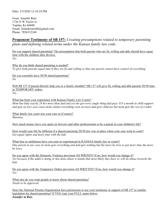From: Jennifer Rutz 1726 N W Taylor st Topeka, Ks 66608 Email: Jenniferrutz86@gmail.com Phone: 7856332168

### **Proponent Testimony of SB 157:** *Creating presumptions related to temporary parenting plans and defining related terms under the Kansas family law code.*

Do you support shared parenting? The presumption that both parents who are fit, willing and able should have equal time with the children after divorce. *Yes* 

Why do you think shared parenting is needed? *To give both parents equal time if they are fit and willing so that one parent cannot have control of everything* 

Do you currently have 50/50 shared parenting? *No* 

Will SB 157 if passed directly help you or a family member? SB 157 will give fit, willing and able parents 50/50 time in TEMPORARY orders.

*Yes* 

What has been your experience with Kansas Family Law Courts? *Mom has kids exactly 24 hrs more than dad and yet she get every single thing dad pays 333 a month in child support and gets no Gov asst cause mom claims everything even on taxes dad gets child tax but mom gets the rest of credits* 

What family law court was your case in (County)? *Shawnee* 

How much money have you spent on lawyers and other professionals to be a parent in your children's life?

How would your life be different if a shared parenting 50/50 law was in place when your case went to court? *Get equal rights and more time with the kids* 

What bias or unfairness have you seen or experienced in KANSAS family law or courts? *One parent in our case its mom gets everything and dad gets nothing but the more he tries to get more time the more he loses* 

Do you agree with the Domestic Violence provision AS WRITEN? If no, how would you change it? *Yes because if the adult is doing or has done abuse it stands that most likely they have or will do abuse towards the kids* 

Do you agree with the Temporary Orders provision AS WRITTEN? If no, how would you change it? *Yes* 

What else do you want people to know about shared parenting? *Needs to be approved* 

Does the National Parents Organization have permission to use your testimony in support of SB 157 or similar legislation for shared parenting? If YES, type your FULL name below: *Jennifer m Rutz*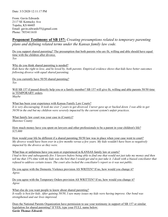From: Gavin Edwards 2117 SE Kentucky Ave Topeka, KS 66605 Email: gavin.edwards55@gmail.com Phone: 7853411610

# **Proponent Testimony of SB 157:** *Creating presumptions related to temporary parenting plans and defining related terms under the Kansas family law code.*

Do you support shared parenting? The presumption that both parents who are fit, willing and able should have equal time with the children after divorce. *Yes* 

Why do you think shared parenting is needed? *Kids have the right to love, and be loved by, both parents. Empirical evidence shows that kids have better outcomes following divorce with equal shared parenting.* 

Do you currently have 50/50 shared parenting? *Yes* 

Will SB 157 if passed directly help you or a family member? SB 157 will give fit, willing and able parents 50/50 time in TEMPORARY orders. *Maybe* 

What has been your experience with Kansas Family Law Courts? It is very discouraging. It took me over 2 years to get divorced. I never gave up or backed down. I was able to get *50/50 in the end but my children were severely impacted by the current system's unfair practices.* 

What family law court was your case in (County)? *Shawnee County* 

How much money have you spent on lawyers and other professionals to be a parent in your children's life? *\$25,000* 

How would your life be different if a shared parenting 50/50 law was in place when your case went to court? *My divorce would have been over in a few months versus a few years. My kids wouldn't have been so negatively impacted by the divorce as they were.* 

What bias or unfairness have you seen or experienced in KANSAS family law or courts? *I had to hire and subsequently fire 3 lawyers before being able to find one that would not just take my money and then tell me that 15% time with my kids was the best that I would get and to just take it. I dealt with a biased conciliator that refused to address certain issues. The court also locked the conciliator's report so it was not public.* 

Do you agree with the Domestic Violence provision AS WRITEN? If no, how would you change it? *Agree.* 

Do you agree with the Temporary Orders provision AS WRITTEN? If no, how would you change it? *Agree* 

What else do you want people to know about shared parenting? *It really is best for kids. After gaining 50/50, I saw many issues my kids were having improve. Our bond was strengthened and our lives improved.* 

Does the National Parents Organization have permission to use your testimony in support of SB 157 or similar legislation for shared parenting? If YES, type your FULL name below: *Gavin Thomas Edwards*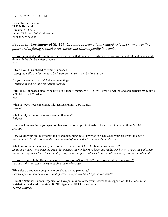Date: 3/3/2020 12:35:41 PM

From: Teresa Duncan 2151 N Byron rd Wichita, KS 67212 Email: Tinkrbell1263@yahoo.com Phone: 7074800525

### **Proponent Testimony of SB 157:** *Creating presumptions related to temporary parenting plans and defining related terms under the Kansas family law code.*

Do you support shared parenting? The presumption that both parents who are fit, willing and able should have equal time with the children after divorce. *Yes* 

Why do you think shared parenting is needed? *Letting the child or children love both parents and be raised by both parents* 

Do you currently have 50/50 shared parenting? *Grandma of son fighting for shared custody* 

Will SB 157 if passed directly help you or a family member? SB 157 will give fit, willing and able parents 50/50 time in TEMPORARY orders. *Yes* 

What has been your experience with Kansas Family Law Courts? *Horrible* 

What family law court was your case in (County)? *Sedgwick* 

How much money have you spent on lawyers and other professionals to be a parent in your children's life? *\$30,000* 

How would your life be different if a shared parenting 50/50 law was in place when your case went to court? *For my son to be able to have the same amount of time with his son that the mother has* 

What bias or unfairness have you seen or experienced in KANSAS family law or courts? *In my son's case it has been assumed that because the mother gave birth that makes her better to raise the child. My son has always been there for his child, always paid support and tried to work out something with the child's mother* 

Do you agree with the Domestic Violence provision AS WRITEN? If no, how would you change it? *You can't always believe everything that the mother says* 

What else do you want people to know about shared parenting? *Children just wanna be loved by both parents. They should not be put in the middle* 

Does the National Parents Organization have permission to use your testimony in support of SB 157 or similar legislation for shared parenting? If YES, type your FULL name below: *Teresa Duncan*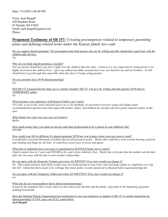From: Jack Basgall 420 Random Road El Dorado, KS 67042 Email: jack.basgall@gmail.com Phone:

### **Proponent Testimony of SB 157:** *Creating presumptions related to temporary parenting plans and defining related terms under the Kansas family law code.*

Do you support shared parenting? The presumption that both parents who are fit, willing and able should have equal time with the children after divorce. *Yes* 

Why do you think shared parenting is needed?

*Not one parent should have any more rights over the children than the other. I believe it is very important for both parents to be highly involved in the children lives. I grew up without my father around and it was very hard for me and my brothers. No kid should have to go through that especially when they have 2 loving caring parents.* 

Do you currently have 50/50 shared parenting? *Yes* 

Will SB 157 if passed directly help you or a family member? SB 157 will give fit, willing and able parents 50/50 time in TEMPORARY orders.

*No* 

What has been your experience with Kansas Family Law Courts?

*Very bad, we go to the courts and don't get to say or do anything, we just listen to lawyers argue and Judges make recommendations and decisions that impact the mother, father, and children for decades off a few points someone makes on the spot.* 

What family law court was your case in (County)? *Butler* 

How much money have you spent on lawyers and other professionals to be a parent in your children's life? *\$20,000* 

How would your life be different if a shared parenting 50/50 law was in place when your case went to court? *It would have saved me thousands of dollars that im still paying towards... Money that could have went towards housing and food and clothing and things for the kids. It could have saved years of stress and agony.* 

What bias or unfairness have you seen or experienced in KANSAS family law or courts? *I had to spend close to 2 years and \$20,000 to be a part of my children's lives. Mostly due to the fact that the mother took the kids after she ran away with the kids to start another relationship.* 

Do you agree with the Domestic Violence provision AS WRITEN? If no, how would you change it? *No. That could and more than likely would cause one of the parents to run to the court and make claims to completely over ride this bill. I think that there needs to be verbiage that states police records and proof is obtained before equal parenting tim*

Do you agree with the Temporary Orders provision AS WRITTEN? If no, how would you change it? *yes* 

What else do you want people to know about shared parenting?

*It must be the standard, that is truly what is in best interest for the kids and the family, especially in the beginning of parents splitting households.* 

Does the National Parents Organization have permission to use your testimony in support of SB 157 or similar legislation for shared parenting? If YES, type your FULL name below:

*Jack Basgall*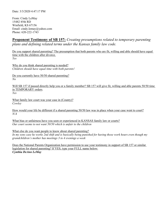From: Cindy LeMay 15482 85th RD Winfield, KS 67156 Email: cindy.lemay@yahoo.com Phone: 620-222-1743

# **Proponent Testimony of SB 157:** *Creating presumptions related to temporary parenting plans and defining related terms under the Kansas family law code.*

Do you support shared parenting? The presumption that both parents who are fit, willing and able should have equal time with the children after divorce. *Yes* 

Why do you think shared parenting is needed? *Children should have equal time with both parents!* 

Do you currently have 50/50 shared parenting? *No* 

Will SB 157 if passed directly help you or a family member? SB 157 will give fit, willing and able parents 50/50 time in TEMPORARY orders. *Yes* 

What family law court was your case in (County)? *Cowley* 

How would your life be different if a shared parenting 50/50 law was in place when your case went to court? *N/A* 

What bias or unfairness have you seen or experienced in KANSAS family law or courts? *Our court seems to not want 50/50 which is unfair to the children* 

What else do you want people to know about shared parenting? *In my sons case he works 2nd shift and is basically being punished for having those work hours even though my grandchildren's mother has meetings 3 to 4 evenings a week* 

Does the National Parents Organization have permission to use your testimony in support of SB 157 or similar legislation for shared parenting? If YES, type your FULL name below: *Cynthia DeAnn LeMay*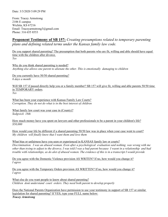From: Tracey Armstrong 2106 E campus Wichita, KS 67216 Email: Traceyarmstrong3@gmail.com Phone: 316 655 8553

# **Proponent Testimony of SB 157:** *Creating presumptions related to temporary parenting plans and defining related terms under the Kansas family law code.*

Do you support shared parenting? The presumption that both parents who are fit, willing and able should have equal time with the children after divorce. *Yes* 

Why do you think shared parenting is needed? *Anything else allows one parent to alienate the other. This is emotionally damaging to children* 

Do you currently have 50/50 shared parenting? *6 days a month* 

Will SB 157 if passed directly help you or a family member? SB 157 will give fit, willing and able parents 50/50 time in TEMPORARY orders. *Yes* 

What has been your experience with Kansas Family Law Courts? *Corruption. They do not do what is in the best interest of children* 

What family law court was your case in (County)? *Sedgwick 18th* 

How much money have you spent on lawyers and other professionals to be a parent in your children's life? *\$50,000* 

How would your life be different if a shared parenting 50/50 law was in place when your case went to court? *My children will finally know that I want them and love them* 

What bias or unfairness have you seen or experienced in KANSAS family law or courts? *Discrimination. I was an abused woman. Even after a psychological evaluation said nothing was wrong with me other than trying to adjust to the divorce, I was told I was a bad parent because I wasnt in a relationship and had trouble with relationships, as do alot of abused women. The evidence of this is in a transcript I would provide* 

Do you agree with the Domestic Violence provision AS WRITEN? If no, how would you change it? *I agree* 

Do you agree with the Temporary Orders provision AS WRITTEN? If no, how would you change it? *I agree* 

What else do you want people to know about shared parenting? *Children dont understand court orders. They need both parent to develop properly* 

Does the National Parents Organization have permission to use your testimony in support of SB 157 or similar legislation for shared parenting? If YES, type your FULL name below: *Tracey Armstrong*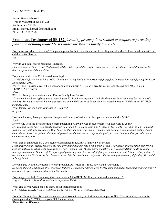From: Sierra Wherrell 1001 E MacArthur Rd Lot 226 Wichita, KS 67216 Email: sierrawherrell@hotmail.com Phone: 3165000570

### **Proponent Testimony of SB 157:** *Creating presumptions related to temporary parenting plans and defining related terms under the Kansas family law code.*

Do you support shared parenting? The presumption that both parents who are fit, willing and able should have equal time with the children after divorce. *Yes* 

Why do you think shared parenting is needed?

*Children deserve to have BOTH fit parents EQUALLY! A child does not love one parent over the other. A child deserves better than one parent and then a visitor.* 

Do you currently have 50/50 shared parenting?

*My children's father would have 50/50 if he wanted it. My husband is currently fighting for 50/50 and has been fighting for 50/50 since August 2018.* 

Will SB 157 if passed directly help you or a family member? SB 157 will give fit, willing and able parents 50/50 time in TEMPORARY orders.

*Maybe* 

What has been your experience with Kansas Family Law Courts?

*My husband has been fighting prose since August 2018 and in my opinion I feel like the courts have been very biased towards mothers. But facts are a child is not a possession and a child deserves better than the biased opinions. A child needs BOTH fit mom and dad.* 

What family law court was your case in (County)? *Sedgwick* 

How much money have you spent on lawyers and other professionals to be a parent in your children's life? *\$600* 

How would your life be different if a shared parenting 50/50 law was in place when your case went to court?

*My husband would have had equal parenting time since 2018. He wouldn't be fighting in the courts. They'd be able to coparent well knowing that they are equals. Mom believe s that since she is primary residence and has more time with the child is "must mean she is above" the father. 50/50 for fit parents would help parents coparent equally because they would be forced to view each other as equals.* 

What bias or unfairness have you seen or experienced in KANSAS family law or courts?

*Most judges blindly believe mothers but take everything a father says with a grain of salt. They expect evidence from fathers but take the mothers word as truth even when it's not. Limited Case Management is costly. The recommendation made by Judge Beasley was made in October of 2018 for equal parenting time. We are still fighting for a trial date, which is incredibly unfair. To be recommended 50/50 as the best interest of the child but continue to only have 14% parenting is extremely defeating. This child is being failed.* 

Do you agree with the Domestic Violence provision AS WRITEN? If no, how would you change it? *No word of mouth. All based off of evidence. If there is a lack of evidence force BOTH mom and dad to take coparenting therapy 4- 6 sessions to get a recommendation for the courts.* 

Do you agree with the Temporary Orders provision AS WRITTEN? If no, how would you change it? *I agree. It should take real true evidence to prevent 50/50.* 

What else do you want people to know about shared parenting? *ITS A GOOD THING FOR CHILDREN TO HAVE BOTH FIT PARENTS EQUALLY!* 

Does the National Parents Organization have permission to use your testimony in support of SB 157 or similar legislation for shared parenting? If YES, type your FULL name below: *Sierra Dakota Wherrell*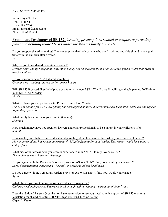From: Gayle Tacha 1400 14TH ST Hoxie, KS 67740 Email: tachagl@yahoo.com Phone: 785-676-9242

# **Proponent Testimony of SB 157:** *Creating presumptions related to temporary parenting plans and defining related terms under the Kansas family law code.*

Do you support shared parenting? The presumption that both parents who are fit, willing and able should have equal time with the children after divorce. *Yes* 

Why do you think shared parenting is needed? *Divorce cases end up being about how much money can be collected from a non-custodial parent rather than what is best for children.* 

Do you currently have 50/50 shared parenting? *Grandparent watching this run on for almost 3 years!* 

Will SB 157 if passed directly help you or a family member? SB 157 will give fit, willing and able parents 50/50 time in TEMPORARY orders. *Maybe* 

What has been your experience with Kansas Family Law Courts? *Our son is battling for 50/50, everything has been agreed on three different times but the mother backs out and refuses to file the paperwork.* 

What family law court was your case in (County)? *Sherman* 

How much money have you spent on lawyers and other professionals to be a parent in your children's life? *\$30,000* 

How would your life be different if a shared parenting 50/50 law was in place when your case went to court? *My family would not have spent approximately \$30,000 fighting for equal rights. That money would have gone to college funds!* 

What bias or unfairness have you seen or experienced in KANSAS family law or courts? *The mother seems to have the advantage.* 

Do you agree with the Domestic Violence provision AS WRITEN? If no, how would you change it? *Legal documentation is necessary - he said / she said should not be allowed.* 

Do you agree with the Temporary Orders provision AS WRITTEN? If no, how would you change it? *Agree* 

What else do you want people to know about shared parenting? *Children need both parents. Divorce is hard enough without ripping a parent out of their lives .* 

Does the National Parents Organization have permission to use your testimony in support of SB 157 or similar legislation for shared parenting? If YES, type your FULL name below: *Gayle L. Tacha*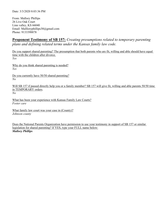From: Mallory Phillips 26 Live Oak Court Linn valley, KS 66040 Email: Mallloryphillips30@gmail.com Phone: 9133398878

# **Proponent Testimony of SB 157:** *Creating presumptions related to temporary parenting plans and defining related terms under the Kansas family law code.*

Do you support shared parenting? The presumption that both parents who are fit, willing and able should have equal time with the children after divorce. *Yes* 

Why do you think shared parenting is needed? *Yes* 

Do you currently have 50/50 shared parenting? *No* 

Will SB 157 if passed directly help you or a family member? SB 157 will give fit, willing and able parents 50/50 time in TEMPORARY orders. *No* 

What has been your experience with Kansas Family Law Courts? *Foster care* 

What family law court was your case in (County)? *Johnson county* 

Does the National Parents Organization have permission to use your testimony in support of SB 157 or similar legislation for shared parenting? If YES, type your FULL name below: *Mallory Phillips*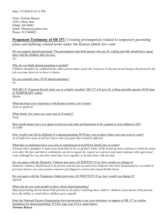From: Norman Bouser 1618 e Drury lane Olathe, KS 66062 Email: Nbouser@yahoo.com Phone: 9137448823

# **Proponent Testimony of SB 157:** *Creating presumptions related to temporary parenting plans and defining related terms under the Kansas family law code.*

Do you support shared parenting? The presumption that both parents who are fit, willing and able should have equal time with the children after divorce. *Yes* 

Why do you think shared parenting is needed? *Children shouldn't be withheld from either parent unless givin the reason as in the parent not being a fit parent for the job everyone deserves to have a chance* 

Do you currently have 50/50 shared parenting? *No* 

Will SB 157 if passed directly help you or a family member? SB 157 will give fit, willing and able parents 50/50 time in TEMPORARY orders. *Maybe* 

What has been your experience with Kansas Family Law Courts? *None to speak of* 

What family law court was your case in (County)? *None* 

How much money have you spent on lawyers and other professionals to be a parent in your children's life? *\$15,000* 

How would your life be different if a shared parenting 50/50 law was in place when your case went to court? *As of right now none at all but I know alot of people that would be affected* 

What bias or unfairness have you seen or experienced in KANSAS family law or courts? *A friend who's daughter is kept away from him by his ex gf that's bitter of the break up and continues to bash his name even after the fact and theres nothing he can do to regain his respect as a person and must continue with supervised visits although he was just fine when they were together to be left alone with the kids* 

Do you agree with the Domestic Violence provision AS WRITEN? If no, how would you change it? *Domestic violence should need to be proven and not just accused if no behavior has been documented or recorded in previous history you cant assume someone just flipped a switch and caused bodily harm* 

Do you agree with the Temporary Orders provision AS WRITTEN? If no, how would you change it? *Agreed* 

What else do you want people to know about shared parenting? *Shared parenting doesnt mean both parents in one place watching there child or children it just means both parents have the ability to watch there children grow equally* 

Does the National Parents Organization have permission to use your testimony in support of SB 157 or similar legislation for shared parenting? If YES, type your FULL name below: *Norman Bouser*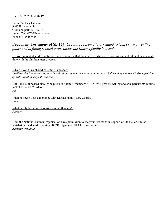Date: 3/3/2020 8:50:02 PM

From: Zachary Demaree 9402 Ballentine St. Overland park, KS 66214 Email: Zachd6788@gmail.com Phone: 9135488455

# **Proponent Testimony of SB 157:** *Creating presumptions related to temporary parenting plans and defining related terms under the Kansas family law code.*

Do you support shared parenting? The presumption that both parents who are fit, willing and able should have equal time with the children after divorce. *Yes* 

Why do you think shared parenting is needed?

*I believe children have a right to be raised and spend time with both parents. I believe they can benefit from growing up with equal time spent with each.* 

Will SB 157 if passed directly help you or a family member? SB 157 will give fit, willing and able parents 50/50 time in TEMPORARY orders. *No* 

What has been your experience with Kansas Family Law Courts? *Poor.* 

What family law court was your case in (County)? *Johnson* 

Does the National Parents Organization have permission to use your testimony in support of SB 157 or similar legislation for shared parenting? If YES, type your FULL name below: *Zachary Demaree*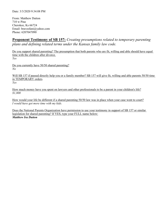From: Matthew Dutton 710 w Pine Cherokee, Ks 66724 Email: bravesfani@yahoo.com Phone: 6207047090

# **Proponent Testimony of SB 157:** *Creating presumptions related to temporary parenting plans and defining related terms under the Kansas family law code.*

Do you support shared parenting? The presumption that both parents who are fit, willing and able should have equal time with the children after divorce. *Yes* 

Do you currently have 50/50 shared parenting? *No* 

Will SB 157 if passed directly help you or a family member? SB 157 will give fit, willing and able parents 50/50 time in TEMPORARY orders. *Yes* 

How much money have you spent on lawyers and other professionals to be a parent in your children's life? *\$1,800* 

How would your life be different if a shared parenting 50/50 law was in place when your case went to court? *I would have got more time with my kids.* 

Does the National Parents Organization have permission to use your testimony in support of SB 157 or similar legislation for shared parenting? If YES, type your FULL name below: *Matthew Ira Dutton*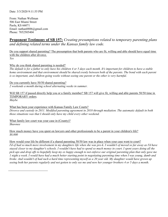From: Nathan Wellman 506 East Miami Street Paola, KS 66071 Email: nathan8806@gmail.com Phone: 7852505404

# **Proponent Testimony of SB 157:** *Creating presumptions related to temporary parenting plans and defining related terms under the Kansas family law code.*

Do you support shared parenting? The presumption that both parents who are fit, willing and able should have equal time with the children after divorce. *Yes* 

Why do you think shared parenting is needed?

*The default is for a father to only have his children 4 or 5 days each month. It's important for children to have a stable*  home environment and that environment should be shared evenly between both of the parents. The bond with each parent *is so important, and children going weeks without seeing one parent or the other is very harmful.* 

Do you currently have 50/50 shared parenting? *2 weekends a month during school alternating weeks in summer.* 

Will SB 157 if passed directly help you or a family member? SB 157 will give fit, willing and able parents 50/50 time in TEMPORARY orders. *Maybe* 

What has been your experience with Kansas Family Law Courts? *Divorce and custody in 2011. Modified parenting agreement in 2018 through mediation. The automatic default in both those situations was that I should only have my child every other weekend.* 

What family law court was your case in (County)? *Shawnee* 

 $\overline{a}$ 

How much money have you spent on lawyers and other professionals to be a parent in your children's life? *\$8,000* 

How would your life be different if a shared parenting 50/50 law was in place when your case went to court? *I'd of had so much more involvement in my daughters life when she was pre-k. I wouldn't of moved so far away as I'd have stayed closer to my daughter's schools. I wouldn't have had to spend so much money in court. I spent years doing all the pick ups and drop offs to hopefully keep my ex happy enough to not enforce our original parenting plan that only gave me 1 night a week. I would have had a much better starting point in negotiating parenting time when I was young, dumb and broke. And wouldn't of had such a hard time representing myself as a 20 year old. My daughter would have grown up seeing both her parents regularly and not gotten to only see me and now her younger brothers 4 or 5 days a month.*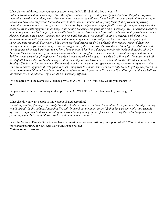#### What bias or unfairness have you seen or experienced in KANSAS family law or courts?

*Fathers are assumed to be less important. By default mother's are given the priority and it falls on the father to prove themselves worthy of anything more than minimum access to the children. I was luckily never accused of abuse or anger issues, but have several friends that lost access to their kids for months while going through the process of proving themselves innocent and worthy of access to their kids. My ex wife's lawyer specifically came after me for every cent she could justify in child support and alimony while setting the bar on my parenting time incredibly low. In nearly a decade of making payments in child support, I once called to clear up an issue where I overpaid and even the Payment center acted shocked that not only was my account too far over paid, but that I was actually calling to interact with them. They assumed an issue with my account would be due to non payment. We recently went back through a lawyer to get parenting time modified. For years a I had every weekend except my drill weekends, then made some modifications through personal agreement with my ex for her to get one of the weekends, she was shocked that I got all that time with our daughter when she barely got to see her... keep in mind I had her 6 days per month, while she had her the other 24. This was the case even during the summer months when our daughter wasn't in school. We went through mediation in 2017 our new parenting plan gives me 2 weekends each month with any extra weekends split evenly. I'm guaranteed all but 2 of all 3 and 4 day weekends through out the school year and have half of all school breaks. We alternate weeks Sunday - Sunday during the summer. I'm incredibly lucky that we got this agreement set up, as there really is no saying what would have happened if we'd gone to court. Compared to others I know I'm incredibly lucky to get my daughter 5 - 8 days a month and felt that I had 'won' coming out of mediation. My ex and I live nearly 100 miles apart and meet half way for exchanges, so a full 50/50 split would be incredibly difficult.* 

Do you agree with the Domestic Violence provision AS WRITEN? If no, how would you change it? *Yes.* 

Do you agree with the Temporary Orders provision AS WRITTEN? If no, how would you change it? *Yes* 

#### What else do you want people to know about shared parenting?

*It's not impossible, if both parents truly have the childs best interests at heart it wouldn't be a question, shared parenting would already be the default. I hate that I've only known 2 people in my entire life that have an amicable joint custody agreement, defaulted to shared parenting time from the beginning and are focused on raising their child together as a parenting team. This shouldn't be a rarity, it should be the standard.* 

Does the National Parents Organization have permission to use your testimony in support of SB 157 or similar legislation for shared parenting? If YES, type your FULL name below: *Nathan James Wellman*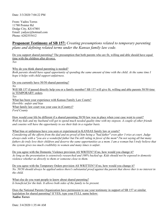From: Yadira Torres 11780 Pointer Rd Dodge City, KS 67801 Email: yadyec@hotmail.com Phone: 6202555412

### **Proponent Testimony of SB 157:** *Creating presumptions related to temporary parenting plans and defining related terms under the Kansas family law code.*

Do you support shared parenting? The presumption that both parents who are fit, willing and able should have equal time with the children after divorce. *Yes* 

Why do you think shared parenting is needed?

*Both parents should have equal opportunity of spending the same amount of time with the child. At the same time I hope it helps with child support unfairness.* 

Do you currently have 50/50 shared parenting? *No*  Will SB 157 if passed directly help you or a family member? SB 157 will give fit, willing and able parents 50/50 time in TEMPORARY orders. *Yes* 

What has been your experience with Kansas Family Law Courts? *Horrible: unfair and bias*  What family law court was your case in (County)? *Ford County* 

How would your life be different if a shared parenting 50/50 law was in place when your case went to court? *Well my kids and my husband will get to spend much needed quality time with my stepson. A couple of other friends and cousins will have the opportunity to see their kids in a regular basis.* 

What bias or unfairness have you seen or experienced in KANSAS family law or courts?

*Considering all the efforts from the dad and no proof of him being a "bad father" even after 3 tries at court. Judge always ends with a "you are a wonderful father but I'm still ruling in favor of the mom" I'm not saying all but many fathers do truly love their children and deserve the same opportunities as a mom. I am a woman but I truly believe that the system gives too much credibility to women and many times is unfair.* 

Do you agree with the Domestic Violence provision AS WRITEN? If no, how would you change it? *As long as the presentation is extensively researched and 100% backed up. Kids should not be exposed to domestic violence whether us directly to them or someone close to them.* 

Do you agree with the Temporary Orders provision AS WRITTEN? If no, how would you change it? *No. 50/50 should always be applied unless there's substantial proof against tha parent that shows ther is no interest in the child.* 

What else do you want people to know about shared parenting? Is beneficial for the kids. It allows both sides of the family to be present.

Does the National Parents Organization have permission to use your testimony in support of SB 157 or similar legislation for shared parenting? If YES, type your FULL name below: *Yadira Torres*

Date: 3/4/2020 1:35:44 AM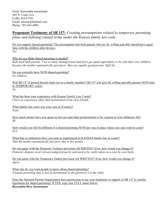From: Kassondra Juenemann 365 N. Court Ave Colby, KS 67701 Email: kassiej@hotmail.com Phone: 785-443-4083

### **Proponent Testimony of SB 157:** *Creating presumptions related to temporary parenting plans and defining related terms under the Kansas family law code.*

Do you support shared parenting? The presumption that both parents who are fit, willing and able should have equal time with the children after divorce. *Yes* 

Why do you think shared parenting is needed?

*Kids need both parents. I see so many damaged men that don't get equal opportunity to be with their own children, because the mother automatically gets favor. Men are equally good parents. EQUAL.* 

Do you currently have 50/50 shared parenting? *No children* 

Will SB 157 if passed directly help you or a family member? SB 157 will give fit, willing and able parents 50/50 time in TEMPORARY orders. *No* 

What has been your experience with Kansas Family Law Courts? *I have no experience other than testimonials from close friends.* 

What family law court was your case in (County)? *None* 

How much money have you spent on lawyers and other professionals to be a parent in your children's life? *\$0* 

How would your life be different if a shared parenting 50/50 law was in place when your case went to court? *N/A* 

What bias or unfairness have you seen or experienced in KANSAS family law or courts? *That the mother automatically has favor due to her gender.* 

Do you agree with the Domestic Violence provision AS WRITEN? If no, how would you change it? *Domestic disputes aren't always judged properly and need to be really taken on a case by case basis.* 

Do you agree with the Temporary Orders provision AS WRITTEN? If no, how would you change it? *Agree* 

What else do you want people to know about shared parenting? *Unequal parenting time is just as detrimental to the parent as it is the child.* 

Does the National Parents Organization have permission to use your testimony in support of SB 157 or similar legislation for shared parenting? If YES, type your FULL name below: *Kassondra Rose Juenemann*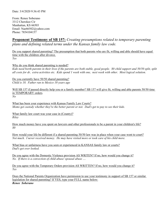From: Renee Soberano 3312 Cherokee Cir Manhattan, KS 66503 Email: Nae66502@yahoo.com Phone: 7854104157

# **Proponent Testimony of SB 157:** *Creating presumptions related to temporary parenting plans and defining related terms under the Kansas family law code.*

Do you support shared parenting? The presumption that both parents who are fit, willing and able should have equal time with the children after divorce. *Yes* 

Why do you think shared parenting is needed?

*Kids need borth parents in their lives if the parents are both stable, good people. \$0 child support and 50/50 split, split all costs for dr, extra activities etc. Kids spend 1 week with one, next week with other. Most logical solution.* 

Do you currently have 50/50 shared parenting? *Child is 18. Father ran to Mexico 10 years ago* 

Will SB 157 if passed directly help you or a family member? SB 157 will give fit, willing and able parents 50/50 time in TEMPORARY orders. *No* 

What has been your experience with Kansas Family Law Courts? *Moms get custody whether they're the better parent or not. Dad's get to pay to see their kids.* 

What family law court was your case in (County)? *Riley* 

How much money have you spent on lawyers and other professionals to be a parent in your children's life? *\$0* 

How would your life be different if a shared parenting 50/50 law was in place when your case went to court? *Not much. I never received money. He may have visited more or took care of his child more.* 

What bias or unfairness have you seen or experienced in KANSAS family law or courts? *Dad's get over looked.* 

Do you agree with the Domestic Violence provision AS WRITEN? If no, how would you change it? *No. If there is a convection of child abuse/ spousal abuse ....* 

Do you agree with the Temporary Orders provision AS WRITTEN? If no, how would you change it? *Yes* 

Does the National Parents Organization have permission to use your testimony in support of SB 157 or similar legislation for shared parenting? If YES, type your FULL name below: *Renee Soberano*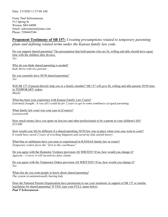From: Paul Schwennesen 512 Spring St Weston, MO 64098 Email: schwennesen@mac.com Phone: 5204445546

# **Proponent Testimony of SB 157:** *Creating presumptions related to temporary parenting plans and defining related terms under the Kansas family law code.*

Do you support shared parenting? The presumption that both parents who are fit, willing and able should have equal time with the children after divorce. *Yes* 

Why do you think shared parenting is needed? *Kids thrive with two parents* 

Do you currently have 50/50 shared parenting? *Yes* 

Will SB 157 if passed directly help you or a family member? SB 157 will give fit, willing and able parents 50/50 time in TEMPORARY orders. *Maybe* 

What has been your experience with Kansas Family Law Courts? *Extremely fraught. It was all I could do for 2 years to get to some semblance of equal parenting.* 

What family law court was your case in (County)? *Leavenworth* 

How much money have you spent on lawyers and other professionals to be a parent in your children's life? *\$25,000* 

How would your life be different if a shared parenting 50/50 law was in place when your case went to court? *It would have saved 2 years of wrecking litigation and saved my kids untold misery* 

What bias or unfairness have you seen or experienced in KANSAS family law or courts? *Temporary orders favor the "first to the courthouse"* 

Do you agree with the Domestic Violence provision AS WRITEN? If no, how would you change it? *Agnostic—I worry it will incentivize false claims* 

Do you agree with the Temporary Orders provision AS WRITTEN? If no, how would you change it? *Yes* 

What else do you want people to know about shared parenting? *The system in unintentionally hurting kids* 

Does the National Parents Organization have permission to use your testimony in support of SB 157 or similar legislation for shared parenting? If YES, type your FULL name below: *Paul T Schwennesen*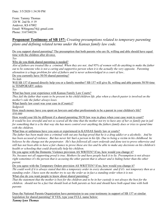From: Tammy Thomas 328 W. 2nd St. # 19 Andover, KS 67002 Email: W8ingonu74@ gmail.com Phone: 3167340236

# **Proponent Testimony of SB 157:** *Creating presumptions related to temporary parenting plans and defining related terms under the Kansas family law code.*

Do you support shared parenting? The presumption that both parents who are fit, willing and able should have equal time with the children after divorce.

*Yes* 

Why do you think shared parenting is needed?

*Alot of fathers are treated like a criminal. When they are not. And 95% of women will do anything to make the father out to be someone who is not a caring and supportive person when it is the actually the very opposite. Parenting alienation is a huge problem for alot of fathers and is never acknowledged in a court of law..* 

Do you currently have 50/50 shared parenting?

*No kids* 

Will SB 157 if passed directly help you or a family member? SB 157 will give fit, willing and able parents 50/50 time in TEMPORARY orders.

*Yes* 

What has been your experience with Kansas Family Law Courts?

*They fail the father that wants to be present in his child/children life. plus when a church pastor is involved on the mother's side the father always loses.* 

What family law court was your case in (County)?

*Sedgwick* 

How much money have you spent on lawyers and other professionals to be a parent in your children's life? *\$50,000* 

How would your life be different if a shared parenting 50/50 law was in place when your case went to court? *It would be less stressful and not so scared all the time that the mother not try to have any of her ex family put in jail for something that is a lie that way she has more control over anything the fathers family does or tries to spend time with the children.* 

What bias or unfairness have you seen or experienced in KANSAS family law or courts?

*The father has been made into a criminal with out any backup proof that he is a drug addict or a alcoholic. And he has been accused of violence. But has never hit/ hurt a person in his life. Due to being a victim in his childhood. he believes be the change.not the perpetrator. He's has followed all court ordereds and done test to prove otherwise and still has not been able to have a fair chance to prove these are lies and be able to make any decisions on his children's health or schooling that could drastically help his children.* 

Do you agree with the Domestic Violence provision AS WRITEN? If no, how would you change it? *No, because not all supporting proof is true. Mothers lie and have people back it to lie. Presumption is not always right sometimes it's the person that is accusing the other parent that is abuser and is hiding better than the other parent.* 

Do you agree with the Temporary Orders provision AS WRITTEN? If no, how would you change it? *Thi could work if it is always stated that this a temporary order in every document and if it's not temporary then as a standing order. I have seen the mother try to say the order us in fact a standing order when it is not.*  What else do you want people to know about shared parenting?

*That the statement that the mother is best for the children and to be in her custody is not always the best for the children. should not be a fact but should look at both parents as best and should have both equal time with both parents* 

Does the National Parents Organization have permission to use your testimony in support of SB 157 or similar legislation for shared parenting? If YES, type your FULL name below:

*Tammy lynn Thomas*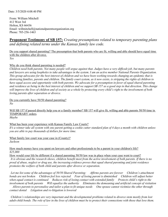From: William Mitchell 412 West 3rd Holton, KS 66436 Email: willmitchell@nationalparentsorganization.org Phone: 785-256-1463

# **Proponent Testimony of SB 157:** *Creating presumptions related to temporary parenting plans and defining related terms under the Kansas family law code.*

Do you support shared parenting? The presumption that both parents who are fit, willing and able should have equal time with the children after divorce. *Yes* 

#### Why do you think shared parenting is needed?

*Children need both parents. Not many people will argue against that. Judges have a very difficult job, but many parents and lawyers are using loopholes to take advantages in the system. I am an active member National Parents Organization. This group advocates for the best interest of children and we have been working towards changing an epidemic that is destroying families, parents and children. The family court system, as it now exists, is stripping the rights of children to have equal access and opportunity with both parents. We advocate for a presumption in favor of equal shared parenting and residence as being in the best interest of children and we support SB 157 as a good step in that direction. This change will improve the lives of children and of society as a whole by protecting every child's right to the involvement of both loving parents after separation or divorce.* 

Do you currently have 50/50 shared parenting? *No* 

Will SB 157 if passed directly help you or a family member? SB 157 will give fit, willing and able parents 50/50 time in TEMPORARY orders. *Maybe* 

What has been your experience with Kansas Family Law Courts? *It's a winner take all system with one parent getting a cookie cutter standard plan of 4 days a month with children unless you are able to pay thousands of dollars for more time.* 

What family law court was your case in (County)? *Jackson* 

How much money have you spent on lawyers and other professionals to be a parent in your children's life? *\$25,000* 

How would your life be different if a shared parenting 50/50 law was in place when your case went to court?

*It is obvious and the research shows, children benefit most from the active involvement of both parents. If there is no proof of abuse, neglect or drug use, the increasing evidence proves that equal shared parenting and joint residence promotes the welfare of both child and parents after divorce or separation.* 

*Let me list some of the advantages of 50/50 Shared Parenting: Affirms parents are forever Children's attachment bonds are not broken Children feel less rejected Fear of losing parent is diminished Children will adjust better when equal contact is continued Reduces risk of losing contact with extended family Protects child's right to the involvement of both parents Will equalize the authority Eliminates the demeaning and artificial concept of visitation Allows parents to personalize and tailor a plan to fit unique needs One spouse cannot victimize the other through* 

*contact denial Litigation and re-litigation is lowered* 

 $\overline{a}$ 

*Children's relationships are very important and the developmental problems related to divorce stem mostly from lost adult-child bonds. The role of law in the lives of children must be to protect their connections with those that love them.*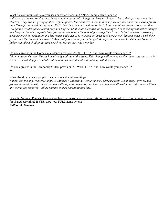#### What bias or unfairness have you seen or experienced in KANSAS family law or courts?

*A divorce or separation does not destroy the family; it only changes it. Parents choose to leave their partners, not their children. They are not giving up their right to parent their children. I was told by my lawyer that under the current family*  laws if one parent wouldn't agree to 50/50 time then the court will not order it. I ask you, if one parent knows that they *will get the residential custody if they don't agree, what is the incentive for them to agree? In speaking with retired judges and lawyers, the often repeated line for giving one parent the bulk of parenting time is that, "children need consistency." Because of school schedules and bus routes and such. It is true that children need consistency but they need it with their parents not the "school bus driver." And really, our society has changed. Both parents now work outside the home. A father can take a child to daycare or school just as easily as a mother.* 

Do you agree with the Domestic Violence provision AS WRITEN? If no, how would you change it? *I do not agree. Current Kansas law already addressed this issue. This change will only be used by some attorneys to win cases. We must stop parental alienation and this amendment will not help with this issue.* 

Do you agree with the Temporary Orders provision AS WRITTEN? If no, how would you change it? *Yes* 

#### What else do you want people to know about shared parenting?

*Kansas has the opportunity to improve children's educational achievements, decrease their use of drugs, give them a greater sense of security, increase their child support payments, and improve their overall health and adjustment without any cost to the taxpayer – all by passing shared parenting into law.* 

Does the National Parents Organization have permission to use your testimony in support of SB 157 or similar legislation for shared parenting? If YES, type your FULL name below: *William A. Mitchell*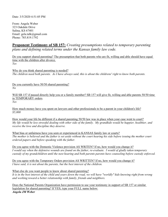Date: 3/5/2020 4:51:05 PM

From: Angela Weber 323 Oakdale Drive Salina, KS 67401 Email: gela.talk@gmail.com Phone: 785.819.1792

# **Proponent Testimony of SB 157:** *Creating presumptions related to temporary parenting plans and defining related terms under the Kansas family law code.*

Do you support shared parenting? The presumption that both parents who are fit, willing and able should have equal time with the children after divorce. *Yes* 

Why do you think shared parenting is needed? *The children need both parents. As I have always said, this is about the childrens' right to know both parents.* 

Do you currently have 50/50 shared parenting? *No* 

Will SB 157 if passed directly help you or a family member? SB 157 will give fit, willing and able parents 50/50 time in TEMPORARY orders. *Yes* 

How much money have you spent on lawyers and other professionals to be a parent in your children's life? *\$5,000* 

How would your life be different if a shared parenting 50/50 law was in place when your case went to court? *My life would be less stressful dealing with other side of the family. My grandkids would be happier, healthier, and receive the love and discipline they deserve.* 

What bias or unfairness have you seen or experienced in KANSAS family law or courts? *The mother is believed and the father is set aside without the court hearing his side before issuing the mother court ordered papers and before speaking with the father.* 

Do you agree with the Domestic Violence provision AS WRITEN? If no, how would you change it? *I would say when the defensive wounds are found on the father, re-evaluate. I would of gladly taken temporary custody of my grandchildren until the next hearing and both parents parents have counseling before custody enforced.* 

Do you agree with the Temporary Orders provision AS WRITTEN? If no, how would you change it? *I have said, it is not about the parents, but the best interest of the children.* 

What else do you want people to know about shared parenting? *It is in the best interest of the child and years down the road, we will have "worldly" kids knowing right from wrong and working toward a better relationship with family, friends and neighbors.* 

Does the National Parents Organization have permission to use your testimony in support of SB 157 or similar legislation for shared parenting? If YES, type your FULL name below: *Angela JM Weber*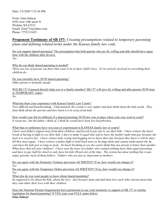From: Gina Salazar 8103 west 19th street N Wichita, KS 67212 Email: Gina77r@yahoo.com Phone: 7753131435

# **Proponent Testimony of SB 157:** *Creating presumptions related to temporary parenting plans and defining related terms under the Kansas family law code.*

Do you support shared parenting? The presumption that both parents who are fit, willing and able should have equal time with the children after divorce. *Yes* 

Why do you think shared parenting is needed? *There are lots of parents out there that want to be in their child's lives. To be actively involved in everything their children do.* 

Do you currently have 50/50 shared parenting? *Other parent is mentally unsafe* 

Will SB 157 if passed directly help you or a family member? SB 157 will give fit, willing and able parents 50/50 time in TEMPORARY orders. *No* 

What has been your experience with Kansas Family Law Courts? *Very difficult and heartbreaking. Unfortunately the system is very unfair and dont think about the kids needs. They dont think about the parents and how hard it is be away from kids.* 

How would your life be different if a shared parenting 50/50 law was in place when your case went to court? *It wasnt me...but the father i think of, I think he would have been less heartbroken.* 

What bias or unfairness have you seen or experienced in KANSAS family law or courts?

*I have seen fathers ripped away from their children, and forced to pay just to see their kids. I have witness the heart break of having to fight to see their kids 2 days to make it equal time and to have the mother make him pay because she feels it is owed to her. I have witness kids crying and begging not to leave their day because they know it will be days till they meet again. I have witness a father fight to hold back tears as he hugs them and cannot understand why he cant have his kids just as long as mom. Its heart breaking to see the courts think that one parent is better than another. What does rhat tell your children? I have seen the tears of a father who wanted nothing more than equal parenting and have to pay half his check to only have his kids 40 percent of the time. The system has done nothing but create angry parents, most of them fathers. Fathers who are just as important as mothers.* 

Do you agree with the Domestic Violence provision AS WRITEN? If no, how would you change it? *Yes*  Do you agree with the Temporary Orders provision AS WRITTEN? If no, how would you change it?

*Yes* 

What else do you want people to know about shared parenting?

Its supposed to be about the kids, about the love. Just because mom and dad dont love each other doesnt mean that *they cant share their love with their children* 

Does the National Parents Organization have permission to use your testimony in support of SB 157 or similar legislation for shared parenting? If YES, type your FULL name below: *Gina Salazar*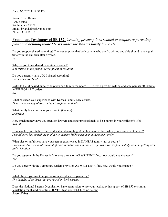From: Brian Helms 1909 s anna Wichita, KS 67209 Email: brian.helms@yahoo.com Phone: 3168061101

# **Proponent Testimony of SB 157:** *Creating presumptions related to temporary parenting plans and defining related terms under the Kansas family law code.*

Do you support shared parenting? The presumption that both parents who are fit, willing and able should have equal time with the children after divorce. *Yes* 

Why do you think shared parenting is needed? *It is critical to the proper development of children.* 

Do you currently have 50/50 shared parenting? *Every other weekend* 

Will SB 157 if passed directly help you or a family member? SB 157 will give fit, willing and able parents 50/50 time in TEMPORARY orders. *No* 

What has been your experience with Kansas Family Law Courts? *They are extremely biased and tends to favor mother's.* 

What family law court was your case in (County)? *Sedgwick* 

How much money have you spent on lawyers and other professionals to be a parent in your children's life? *\$10,000* 

How would your life be different if a shared parenting 50/50 law was in place when your case went to court? *I would have had something in place to achieve 50/50 custody in a permanent order* 

What bias or unfairness have you seen or experienced in KANSAS family law or courts? *I was denied a reasonable amount of time to obtain council and ex wife was awarded full custody with me getting very little visitation.* 

Do you agree with the Domestic Violence provision AS WRITEN? If no, how would you change it? *Yes* 

Do you agree with the Temporary Orders provision AS WRITTEN? If no, how would you change it? *Yes* 

What else do you want people to know about shared parenting? *The benefits of children that are raised by both parents* 

Does the National Parents Organization have permission to use your testimony in support of SB 157 or similar legislation for shared parenting? If YES, type your FULL name below: *Brian Helms*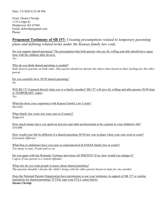From: Dustin Chrislip 1135 n high dr Mcpherson, KS 67460 Email: dchrislip@gmail.com Phone:

# **Proponent Testimony of SB 157:** *Creating presumptions related to temporary parenting plans and defining related terms under the Kansas family law code.*

Do you support shared parenting? The presumption that both parents who are fit, willing and able should have equal time with the children after divorce. *Yes* 

Why do you think shared parenting is needed? *Kids deserve parents on both sides. One parent should not dictate the others time based on their feelings for the other parent* 

Do you currently have 50/50 shared parenting? *No* 

Will SB 157 if passed directly help you or a family member? SB 157 will give fit, willing and able parents 50/50 time in TEMPORARY orders. *Yes* 

What has been your experience with Kansas Family Law Courts? *Horrible* 

What family law court was your case in (County)? *Sedgwick* 

How much money have you spent on lawyers and other professionals to be a parent in your children's life? *\$10,000* 

How would your life be different if a shared parenting 50/50 law was in place when your case went to court? *Extremely different* 

What bias or unfairness have you seen or experienced in KANSAS family law or courts? *Too many to type. Fraud and so on* 

Do you agree with the Domestic Violence provision AS WRITEN? If no, how would you change it? *I agree if one parent is a violent offender* 

What else do you want people to know about shared parenting? *The parents shouldn't dictate the child's being with the other parent based on hate for one another* 

Does the National Parents Organization have permission to use your testimony in support of SB 157 or similar legislation for shared parenting? If YES, type your FULL name below: *Dustin Chrislip*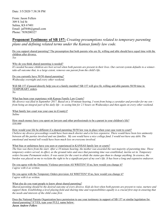From: Jason Fellers 309 S 3rd St Salina, KS 67401 Email: jaf5446@gmail.com Phone: 7858200327

### **Proponent Testimony of SB 157:** *Creating presumptions related to temporary parenting plans and defining related terms under the Kansas family law code.*

Do you support shared parenting? The presumption that both parents who are fit, willing and able should have equal time with the children after divorce. *Yes* 

Why do you think shared parenting is needed?

*It's needed because children are best served when both parents are present in their lives. Our current system defaults to a winnertake-all outcome that, to a large extent, removes one parent from the child's life.* 

Do you currently have 50/50 shared parenting? *Wednesday overnight and every other weekend.* 

Will SB 157 if passed directly help you or a family member? SB 157 will give fit, willing and able parents 50/50 time in TEMPORARY orders. *No* 

What has been your experience with Kansas Family Law Courts?

*My divorce was filed in September 2017. Based on a 10 minute hearing, I went from being a caretaker and provider for my son from being an integral part of his daily life - to seeing him for 2.5 hours on Wednesdays and then again on every other weekend.* 

What family law court was your case in (County)? *Saline* 

How much money have you spent on lawyers and other professionals to be a parent in your children's life? *\$30,000* 

How would your life be different if a shared parenting 50/50 law was in place when your case went to court? *I believe my divorce proceedings would have been much shorter and a lot less expensive. There would have been less animosity between all the parties involved and our families. My son would have a nice college fund. I would not have any debt. The emotional and mental toll would have been much less on everyone involved.* 

What bias or unfairness have you seen or experienced in KANSAS family law or courts?

*The bias was there from the start. After a 10 minute hearing, the mother was awarded the vast majority of parenting time. Those temporary orders served, in effect, as the ground rules and once that parenting time was established, inertia set in. Temporary orders became Permanent orders. It was easier for the court to abide the status quo than to change anything. In essence, the burden was placed on me to reclaim the right to be a significant part of my son's life. It has been a long and expensive endeavor.* 

Do you agree with the Domestic Violence provision AS WRITEN? If no, how would you change it? *I agree with it as written.* 

Do you agree with the Temporary Orders provision AS WRITTEN? If no, how would you change it? *I agree with it as written.* 

What else do you want people to know about shared parenting?

*Shared parenting should be the desired outcome of every divorce. Kids do best when both parents are present to raise, nurture and support them. Establishing a level playing field and sharing time and responsibilities equally is a crucial first step in ensuring that the needs and interests of the child come first.* 

Does the National Parents Organization have permission to use your testimony in support of SB 157 or similar legislation for shared parenting? If YES, type your FULL name below: *Jason Andrew Fellers*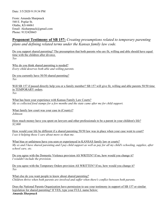From: Amanda Sharpnack 540 E. Poplar St. Olathe, KS 66061 Email: Aksharpnack@gmail.com Phone: 9132420665

### **Proponent Testimony of SB 157:** *Creating presumptions related to temporary parenting plans and defining related terms under the Kansas family law code.*

Do you support shared parenting? The presumption that both parents who are fit, willing and able should have equal time with the children after divorce. *Yes* 

Why do you think shared parenting is needed? *Every child deserves both able and willing parents.* 

Do you currently have 50/50 shared parenting? *Yes* 

Will SB 157 if passed directly help you or a family member? SB 157 will give fit, willing and able parents 50/50 time in TEMPORARY orders. *Yes* 

What has been your experience with Kansas Family Law Courts? *My ex collected food stamps for a few months and the state came after me for child support.* 

What family law court was your case in (County)? *Johnson* 

How much money have you spent on lawyers and other professionals to be a parent in your children's life? *\$2,000* 

How would your life be different if a shared parenting 50/50 law was in place when your case went to court? *I see it helping those I care about more so than me.* 

What bias or unfairness have you seen or experienced in KANSAS family law or courts? *My ex and I have shared parenting and I pay child support as well as pay for all my child's schooling, supplies, after school care, etc.* 

Do you agree with the Domestic Violence provision AS WRITEN? If no, how would you change it? *I wouldn't include the provision.* 

Do you agree with the Temporary Orders provision AS WRITTEN? If no, how would you change it? *Yes* 

What else do you want people to know about shared parenting? *Children thrive when both parents are involved and suffer when there's conflict between both parents.* 

Does the National Parents Organization have permission to use your testimony in support of SB 157 or similar legislation for shared parenting? If YES, type your FULL name below: *Amanda Sharpnack*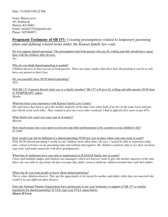From: Shawn Levis 301 Walnut St Marion, KS 66861 Email: swish22743@gmail.com Phone: 3023960071

# **Proponent Testimony of SB 157:** *Creating presumptions related to temporary parenting plans and defining related terms under the Kansas family law code.*

Do you support shared parenting? The presumption that both parents who are fit, willing and able should have equal time with the children after divorce. *Yes* 

Why do you think shared parenting is needed? *Children deserve to have access to both parents. There are many studies that show how devastating it can be to only have one parent in their lives.* 

Do you currently have 50/50 shared parenting? *43%* 

Will SB 157 if passed directly help you or a family member? SB 157 will give fit, willing and able parents 50/50 time in TEMPORARY orders. *Maybe* 

What has been your experience with Kansas Family Law Courts? *My experience has been to give the mother majority of the time even when both of us live in the same town and just four blocks from each other. They wanted to give me every other weekend. I had to fight for five years to get 43%.* 

What family law court was your case in (County)? *Marion* 

How much money have you spent on lawyers and other professionals to be a parent in your children's life? *\$13,000* 

How would your life be different if a shared parenting 50/50 law was in place when your case went to court? *With 50-50 shared parenting I would see my children more often than I do now. I would be able to experience play time, school activities on my parenting time and without interruption. My children would be able to see their newborn step sister and make memories with their grandparents.* 

What bias or unfairness have you seen or experienced in KANSAS family law or courts? I have had multiple judges and limited case managers which are lawyers want to give the mother majority of the time. *Since she was able to stay home all day everyday they didn't seem to think my children needed time with their father.* 

What else do you want people to know about shared parenting? *This is what children deserve. They get the opportunity to be raised by mother and father while they are married why would it be any different after divorce.* 

Does the National Parents Organization have permission to use your testimony in support of SB 157 or similar legislation for shared parenting? If YES, type your FULL name below: *Shawn M Levis*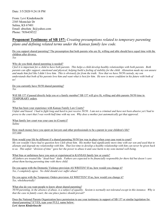From: Levi Kinderknecht 2385 Montclair Dr Salina, KS 67401 Email: absolute\_lk@yahoo.com Phone: 7856438522

### **Proponent Testimony of SB 157:** *Creating presumptions related to temporary parenting plans and defining related terms under the Kansas family law code.*

Do you support shared parenting? The presumption that both parents who are fit, willing and able should have equal time with the children after divorce. *Yes* 

#### Why do you think shared parenting is needed?

*I feel it is important for a child to have both parents. This helps a child develop healthy relationships with both parents. Both parents can offer support, emotional and physical, helping build a feeling of stability for the child. Alienation made my son unsure and made him feel like I didn't love him. This is obviously far from the truth. Now that we have 50/50 custody, my son understands that both of his parents love him and want what is best for him. He now is more confident in his future with both of us!* 

Do you currently have 50/50 shared parenting? *Yes* 

Will SB 157 if passed directly help you or a family member? SB 157 will give fit, willing and able parents 50/50 time in TEMPORARY orders.

*No* 

What has been your experience with Kansas Family Law Courts?

*Unfair and biased. I had to fight long and hard to just receive 50/50. I am not a criminal and have not been abusive yet I had to prove to the court that I was worth half time with my son. Why does a mother just automatically get that approval.* 

What family law court was your case in (County)? *Saline* 

How much money have you spent on lawyers and other professionals to be a parent in your children's life? *\$35,000* 

How would your life be different if a shared parenting 50/50 law was in place when your case went to court? *My son wouldn't have had to question how I felt about him. His mother had significantly more time with our son and used that to alienate and degrade my relationship with him. That lost time to develop a healthy relationship with him can never be given back*  to us. This unfair "division of time" gave her the power to abuse it and case harm to my sons mental well-being.

What bias or unfairness have you seen or experienced in KANSAS family law or courts? *All fathers are treated like "dead-beat" dads. Fathers are expected to be financially responsible for there kid but doesn't care about them having parenting time with there child.* 

Do you agree with the Domestic Violence provision AS WRITEN? If no, how would you change it? *Yes, I completely agree. No child should ever suffer abuse!* 

Do you agree with the Temporary Orders provision AS WRITTEN? If no, how would you change it? *Yes, wholeheartedly!* 

What else do you want people to know about shared parenting? *50/50 parenting, in the absence of abuse, is a subject of equality. Sexism is normally not tolerated except in this instance. Why is that the case in family court, the one place justice should prevail?* 

Does the National Parents Organization have permission to use your testimony in support of SB 157 or similar legislation for shared parenting? If YES, type your FULL name below: *Levi Aaron Kinderknecht*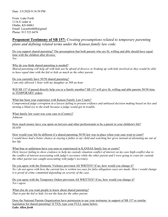From: Luke Forth 1116 E cedar st Olathe, KS 66061 Email: Lucasforth08@gmail Phone: 913 523 6476

## **Proponent Testimony of SB 157:** *Creating presumptions related to temporary parenting plans and defining related terms under the Kansas family law code.*

Do you support shared parenting? The presumption that both parents who are fit, willing and able should have equal time with the children after divorce. *Yes* 

Why do you think shared parenting is needed?

*Shared parenting will help all with kids not be afraid of divorce or braking up with kids involved as they would be able to have equal time with the kid or kids as much as the other parent.* 

Do you currently have 50/50 shared parenting? *I am only allowed 1 hour with my daughter at 50\$ an hour* 

Will SB 157 if passed directly help you or a family member? SB 157 will give fit, willing and able parents 50/50 time in TEMPORARY orders.

What has been your experience with Kansas Family Law Courts? *Compromised judge corruption in a lawyer failing to present evidence and unbiased decision making based on lies and turning a blind eye to the truth because a judge would get in trouble.* 

What family law court was your case in (County)? *Johnson* 

How much money have you spent on lawyers and other professionals to be a parent in your children's life? *\$4,650* 

How would your life be different if a shared parenting 50/50 law was in place when your case went to court? *I* would have had a better chance at staying a father to my child and watching her grow instead of alienating me out of *her life* 

What bias or unfairness have you seen or experienced in KANSAS family law or courts? *Dirty lawyer failing to show evidence to help my custody situation conflict of interest on my case high-conflict due to the conflict of interest associating with judge's secretary while the other parent and I were going to court for custody the other parent was caught associating with judge's secretary.* 

Do you agree with the Domestic Violence provision AS WRITEN? If no, how would you change it? *No i do not agree with how the current law is written too easy for false allegation cases are made. How i would change it is proof of crime committed depending on severity of the case.* 

Do you agree with the Temporary Orders provision AS WRITTEN? If no, how would you change it? *Yes i agree* 

What else do you want people to know about shared parenting? *That to put the kid or kids 1st not the hate for the other parent.* 

Does the National Parents Organization have permission to use your testimony in support of SB 157 or similar legislation for shared parenting? If YES, type your FULL name below: *Luke Allen forth*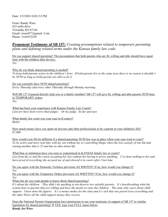Date: 3/5/2020 10:01:52 PM

From: Randy Ware 625 mills drive Towanda, KS 67144 Email: rware077@gmail. Com Phone: 3164352256

## **Proponent Testimony of SB 157:** *Creating presumptions related to temporary parenting plans and defining related terms under the Kansas family law code.*

Do you support shared parenting? The presumption that both parents who are fit, willing and able should have equal time with the children after divorce. *Yes* 

Why do you think shared parenting is needed? *To keep both parents active in the children's lives. If both parents live in the same area there is no reason it shouldn't be 50/50 as long as both parents are able to do it* 

Do you currently have 50/50 shared parenting? *Every Thursday and every other Thursday through Monday morning* 

Will SB 157 if passed directly help you or a family member? SB 157 will give fit, willing and able parents 50/50 time in TEMPORARY orders. *Yes* 

What has been your experience with Kansas Family Law Courts? *Lawyers have been worse than judges. Or my judge. So far anyways* 

What family law court was your case in (County)? *Butler* 

How much money have you spent on lawyers and other professionals to be a parent in your children's life? *\$7,000* 

How would your life be different if a shared parenting 50/50 law was in place when your case went to court? *To be active and more real time with my son without my ex controlling things when she lost custody of one kid and raising another that is 25 and has no idea about life* 

What bias or unfairness have you seen or experienced in KANSAS family law or courts? *Lies from the ex and the courts excepting her lies without her having to prove anything. I've done nothing to her and*  have proof of everything she accused me of and showed it in courts after I lost time

Do you agree with the Domestic Violence provision AS WRITEN? If no, how would you change it? *Yes*

Do you agree with the Temporary Orders provision AS WRITTEN? If no, how would you change it? *Yes* 

What else do you want people to know about shared parenting?

It's about the children. They didn't do anything to not deserve two suitable parents. It's heartbreaking what the *system does to parents that are willing and have the means to raise the children. The state only cares about child support. I have done the figures. It's a money maker for the state and it's sick that one parent loses everything and the other blows all the child support money they receive* 

Does the National Parents Organization have permission to use your testimony in support of SB 157 or similar legislation for shared parenting? If YES, type your FULL name below: *Randy Joe Ware*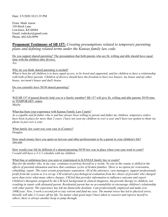Date: 3/5/2020 10:21:35 PM

From: Mark Aaron 330 Birch Lane Lawrence, KS 66044 Email: rodocker@gmail.com Phone: 602.620.0999

### **Proponent Testimony of SB 157:** *Creating presumptions related to temporary parenting plans and defining related terms under the Kansas family law code.*

Do you support shared parenting? The presumption that both parents who are fit, willing and able should have equal time with the children after divorce. *Yes* 

Why do you think shared parenting is needed?

*What is best for all children is to have equal access, to be loved and supported, and for children to have a relationship*  with both of their parents. Children of divorce should have the freedom to have two houses: my house and my other *house, not mom's house and dad's house.* 

Do you currently have 50/50 shared parenting?

*0* 

l

Will SB 157 if passed directly help you or a family member? SB 157 will give fit, willing and able parents 50/50 time in TEMPORARY orders. *Maybe* 

What has been your experience with Kansas Family Law Courts?

*As a capable and fit father who is and has always been willing to parent and father my children, temporary orders have been in place for more than 2 years. I have not seen my children in over a year and I have not spoken to them via phone in just over a year.* 

What family law court was your case in (County)? *Douglas* 

How much money have you spent on lawyers and other professionals to be a parent in your children's life? *\$90,000* 

How would your life be different if a shared parenting 50/50 law was in place when your case went to court? *I would still have a 3-2-2 schedule with my children.* 

What bias or unfairness have you seen or experienced in KANSAS family law or courts?

*Bias for the mother who, in my case, continues to portray herself as a victim. No one in the county is skilled in the affects of parental alienation and how that continues cycles of broken families. There is no option for restoration, rebuilding, repair. The court system perpetuates separation. All of the attorneys, case managers, support professionals profit from the system as it is set up. CM ordered a psychological evaluation from her choice of provider who charged more than twice what many others charges. CM fed that provider information to influence outcome and report. Children's therapists assigned by the CM lack background in clinical diagnosis, but provide therapy to children, not resulting in repair with alienated parent. Residential parent has no accountability to encourage children's relationship with other parent. The experience has left me financially destitute. I am professionally employed and make over 100K/year. Now, I work a second job to stay solvent and fund my case. The mental stress has led to physical stress, literally will take 2-3 years off my life. No matter what good steps I have taken to reassert and reprove myself to others, there is always another hoop to jump through.*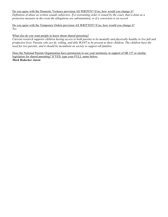#### Do you agree with the Domestic Violence provision AS WRITEN? If no, how would you change it?

*Definition of abuse as written sounds subjective. If a restraining order is issued by the court, that is done as a protective measure in the event the allegations are substantiated, or if a conviction is on record* 

Do you agree with the Temporary Orders provision AS WRITTEN? If no, how would you change it? *Yes* 

#### What else do you want people to know about shared parenting?

*Current research supports children having access to both parents to be mentally and physically healthy to live full and productive lives. Parents who are fit, willing, and able WANT to be present to their children. The children have the need for two parents, and it should be incumbent on society to support all families.* 

Does the National Parents Organization have permission to use your testimony in support of SB 157 or similar legislation for shared parenting? If YES, type your FULL name below: *Mark Rodocker Aaron*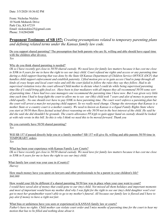From: Nicholas Nickles 10 North Mohawk Drive Park City, KS 67219 Email: nicknickles25@gmail.com Phone: 3162842600

# **Proponent Testimony of SB 157:** *Creating presumptions related to temporary parenting plans and defining related terms under the Kansas family law code.*

Do you support shared parenting? The presumption that both parents who are fit, willing and able should have equal time with the children after divorce.

*Yes* 

#### Why do you think shared parenting is needed?

*Ok so I have recently got close to 50/50 shared custody. We need laws for family law matters because it has cost me close to \$30k in 8 years for me to have the right to see our (my) child. Court refused me rights and access or any parenting time during a child support hearing that was done by the State Of Kansas Department of Children Service OFFICE (DCF) that handles child support enforcement and establish paternity. I filed motion pro se to gain access I had to jump through all kinds of crazy hoops and local court rules and still the court failed to follow the rules they say they follow. Had to do supervised visitation twice the court allowed Child mother to dictate what I could do while being supervised parenting time like if I could bring gifts food ect. Have been to four mediators with all impass they all recommend 50/50 some sort of parenting time. I have had two case managers one recommend the parenting time I have now. But I was given very little time each time I had to keep fight the court to allow me to see our (My) child took 7 years and alot of money to parent my child equally.. No one should ever have to pay \$30K to have parenting time. The court won't enforce a parenting plan but the court will arrest a man for not paying child support. So we really need change. Change the stereotype that Kansas is a mother State or a country court is a mother country. We need to known as Kansas is a Equal Family Rights State where you start at 50/50 then Have factual actual direct reasoning on why 50/50 not in the best interest of the child. He said he did she said she did shouldn't be grounds. The courts allowance PFA/pfs to gain upper hand on custody should be looked at with rule wrote in this bill. So this is why I think we need this to be moved forward. Thank you* 

Do you currently have 50/50 shared parenting?

*Yes* 

Will SB 157 if passed directly help you or a family member? SB 157 will give fit, willing and able parents 50/50 time in TEMPORARY orders.

*Yes* 

What has been your experience with Kansas Family Law Courts?

*Ok so I have recently got close to 50/50 shared custody. We need laws for family law matters because it has cost me close to \$30k in 8 years for me to have the right to see our (my) child.* 

What family law court was your case in (County)?

*Harvey* 

How much money have you spent on lawyers and other professionals to be a parent in your children's life? *\$60,000* 

How would your life be different if a shared parenting 50/50 law was in place when your case went to court?

*I would have saved alot of money that could gone to our (my) child. Not missed all them holidays and important moments and most of important would been my mother died why I was fight for the right to see our (my) child daughter won't ever got to meet her grandmother wasn't able to go to my mother's funeral. All because our family law is flawed and I have to pay alot if money to have a right not fair.* 

What bias or unfairness have you seen or experienced in KANSAS family law or courts? *Father's have no rights. Child mother can violate court order and I miss months of parenting time for the court to hear my motion that has to be filled and nothing done about it.*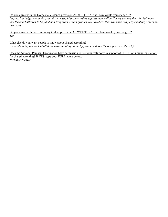#### Do you agree with the Domestic Violence provision AS WRITEN? If no, how would you change it?

*I agree. But judges routinely grant false or stupid protect orders against men well in Harvey country they do. Pull mine that the court allowed to be filled and temporary orders granted you could see then you have two judges making orders on two cases* 

Do you agree with the Temporary Orders provision AS WRITTEN? If no, how would you change it? *Yes* 

What else do you want people to know about shared parenting? *It's needs to happen look at all these mass shootings done by people with out the our parent in there life* 

Does the National Parents Organization have permission to use your testimony in support of SB 157 or similar legislation for shared parenting? If YES, type your FULL name below: *Nicholas Nickles*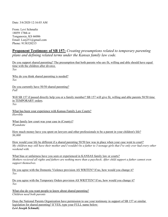Date: 3/6/2020 12:16:03 AM

From: Levi Schmaltz 18059 178th st Tonganoxie, KS 66086 Email: Leej251@gmail.com Phone: 9138320215

# **Proponent Testimony of SB 157:** *Creating presumptions related to temporary parenting plans and defining related terms under the Kansas family law code.*

Do you support shared parenting? The presumption that both parents who are fit, willing and able should have equal time with the children after divorce. *Yes* 

Why do you think shared parenting is needed? *Yes* 

Do you currently have 50/50 shared parenting? *Full* 

Will SB 157 if passed directly help you or a family member? SB 157 will give fit, willing and able parents 50/50 time in TEMPORARY orders.

*Yes* 

What has been your experience with Kansas Family Law Courts? *Horrible* 

What family law court was your case in (County)? *Wyandotte* 

How much money have you spent on lawyers and other professionals to be a parent in your children's life? *\$6,000* 

How would your life be different if a shared parenting 50/50 law was in place when your case went to court? *My children may still have their mother and I wouldn't be a father to 3 teenage girls that I've only ever had every other weekend with.* 

What bias or unfairness have you seen or experienced in KANSAS family law or courts? *Mothers recieved all rights and fathers are nothing more than a paycheck. After child support a father cannot even support themselves.* 

Do you agree with the Domestic Violence provision AS WRITEN? If no, how would you change it? *Yes* 

Do you agree with the Temporary Orders provision AS WRITTEN? If no, how would you change it? *Yes* 

What else do you want people to know about shared parenting? *Children need both parents* 

Does the National Parents Organization have permission to use your testimony in support of SB 157 or similar legislation for shared parenting? If YES, type your FULL name below: *Levi Joseph Schmaltz*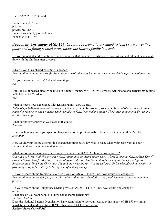Date: 3/6/2020 2:15:33 AM

From: Richard Caswell private privite, NC 28512 Email: caswellrad@hotmail.com Phone: 0419491179

## **Proponent Testimony of SB 157:** *Creating presumptions related to temporary parenting plans and defining related terms under the Kansas family law code.*

Do you support shared parenting? The presumption that both parents who are fit, willing and able should have equal time with the children after divorce. *Yes* 

Why do you think shared parenting is needed? *Presumption both parents are fit. Both parents involved means better outcome, more child support compliance etc.* 

Do you currently have 50/50 shared parenting? *No* 

Will SB 157 if passed directly help you or a family member? SB 157 will give fit, willing and able parents 50/50 time in TEMPORARY orders. *Yes* 

What has been your experience with Kansas Family Law Courts? *Judge obeys GAL and does not require any evidence from GAL. No due process. GAL withholds all school reports, counselor reports or any evidence which would stop GAL from making money. The system is so money driven and upside down logic.* 

What family law court was your case in (County)? *Johnson* 

How much money have you spent on lawyers and other professionals to be a parent in your children's life? *\$300,000* 

How would your life be different if a shared parenting 50/50 law was in place when your case went to court? *Yes the children would have both parents.* 

What bias or unfairness have you seen or experienced in KANSAS family law or courts? *Guardian at litem withholds evidence. GAL intimidates childcare supervisors to benefit agenda. GAL Ashlyn Yarnell (Ronald Nelson Law firm) who is very vocal against this bill has two Federal cases against her for religious discrimination. They hate Christians. She told me never to pray with my children. GAL withholds school reports or psychologist reports contrary to her agenda of making money.* 

Do you agree with the Domestic Violence provision AS WRITEN? If no, how would you change it? *Presentation not accepted if ex parte. Must allow other party the ability to respond. No temp orders without due process.* 

Do you agree with the Temporary Orders provision AS WRITTEN? If no, how would you change it? *agree* What else do you want people to know about shared parenting? *Best for children.* Does the National Parents Organization have permission to use your testimony in support of SB 157 or similar legislation for shared parenting? If YES, type your FULL name below: *Richard Berry Caswell MD*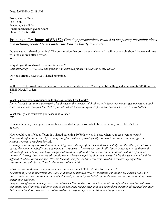From: Merlyn Entz 1673 20th Peabody, KS 66866 Email: merlynentz@yahoo.com Phone: 316 284 1204

# **Proponent Testimony of SB 157:** *Creating presumptions related to temporary parenting plans and defining related terms under the Kansas family law code.*

Do you support shared parenting? The presumption that both parents who are fit, willing and able should have equal time with the children after divorce. *Yes* 

Why do you think shared parenting is needed? *Best interest of CHILDREN and parents and extended family and Kansas social values.* 

Do you currently have 50/50 shared parenting? *Yes* 

Will SB 157 if passed directly help you or a family member? SB 157 will give fit, willing and able parents 50/50 time in TEMPORARY orders.

*No* 

 $\overline{a}$ 

What has been your experience with Kansas Family Law Courts? *I have learned that in our adversarial legal system, the process of child custody decisions encourages parents to attack each other in court to find the "better parent" which leaves things open for more "winner take-all" court battles.* 

What family law court was your case in (County)? *HV* 

How much money have you spent on lawyers and other professionals to be a parent in your children's life? *\$35,000* 

How would your life be different if a shared parenting 50/50 law was in place when your case went to court? *Nine months of more normal life with my daughter instead of strategically created temporary orders designed to surgically remove me from her life.* 

*So many better things to invest in than the litigation industry. If one seeks shared custody and the other parent won't agree, the common belief is that one must pay a ransom to lawyers as your child's future is hostage to the financial interests of this industry which by design is allowed to conflate the "best interest of children" with their financial interests! During those nine months until present I keep recognizing that the adversarial legal system is not ideal for difficult child custody decisions UNLESS the child's rights and best interests could be protected by impartial representation paid by the State in the interest of the child.* 

What bias or unfairness have you seen or experienced in KANSAS family law or courts?

*As courts of judicial discretion, decisions only need be justified by local tradition, continuing the current plans for inexcusable reasons, "preponderance of evidence", essentially the beliefs of the decision makers, instead of any clear, convincing evidence.* 

*Lawyers are given too much power over children's lives in decisions made without sunlight which could reveal their complicity or self interest and often acts as an apologist for a system that can profit from creating adversarial behavior. This leaves the door open for corruption without transparency over decision making processes.*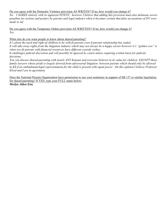#### Do you agree with the Domestic Violence provision AS WRITEN? If no, how would you change it?

*No. I AGREE entirely with its apparent INTENT, however I believe that adding this provision must also delineate severe penalties for actions and perjury by parents and legal industry when it becomes certain that false accusations of DV were made to inf* 

Do you agree with the Temporary Orders provision AS WRITTEN? If no, how would you change it? *Yes* 

#### What else do you want people to know about shared parenting?

*It's about the need and right of children to be with fit parents even if parents relationship has ended. It will take away rights from the litigation industry which may not always be a happy career however it's "golden cow" is when two fit parents with financial resources have different custody wishes.* 

*It challenges judicial discretion and will possibly be ignored by courts unless requiring written basis for judicial decisions.* 

*You can discuss shared parenting with nearly ANY Kansan and everyone believes in its value for children EXCEPT those family lawyers whose profit is largely derived from adversarial litigation between parents which should only be allowed in KS if an ombudsman/legal representation for the child is present with equal power. On this opinion I believe Professor Elrod and I are in agreement.* 

Does the National Parents Organization have permission to use your testimony in support of SB 157 or similar legislation for shared parenting? If YES, type your FULL name below: *Merlyn Alden Entz*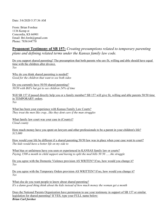Date: 3/6/2020 5:37:36 AM

From: Brian Forshee 1136 Kemp st Concordia, KS 66901 Email: Bri.forsh@gmail.com Phone: 7856144770

# **Proponent Testimony of SB 157:** *Creating presumptions related to temporary parenting plans and defining related terms under the Kansas family law code.*

Do you support shared parenting? The presumption that both parents who are fit, willing and able should have equal time with the children after divorce. *Yes* 

Why do you think shared parenting is needed? *Good for the children that want to see both sides* 

Do you currently have 50/50 shared parenting? *50/50 with Bill's but get to see children 24% of time* 

Will SB 157 if passed directly help you or a family member? SB 157 will give fit, willing and able parents 50/50 time in TEMPORARY orders. *Yes* 

What has been your experience with Kansas Family Law Courts? *They treat the men like crap...like they dont care if the man struggles* 

What family law court was your case in (County)? *Cloud county* 

How much money have you spent on lawyers and other professionals to be a parent in your children's life? *\$15,000* 

How would your life be different if a shared parenting 50/50 law was in place when your case went to court? *The kids would have a better life on my side to* 

What bias or unfairness have you seen or experienced in KANSAS family law or courts? *Paying 1500 a month in child support and having to split the med bills 50 50 ......the struggle* 

Do you agree with the Domestic Violence provision AS WRITEN? If no, how would you change it? *Yes* 

Do you agree with the Temporary Orders provision AS WRITTEN? If no, how would you change it? *Yes* 

What else do you want people to know about shared parenting? *It's a damn good thing think about the kids instead of how much money the woman get a month* 

Does the National Parents Organization have permission to use your testimony in support of SB 157 or similar legislation for shared parenting? If YES, type your FULL name below: *Brian Carl forshee*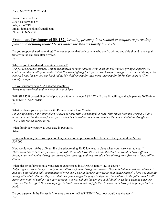From: Jonna Jenkins 306 S Cottonwood St Iola, KS 66749 Email: jonnakjenkins@gmail.com Phone: 9134248782

## **Proponent Testimony of SB 157:** *Creating presumptions related to temporary parenting plans and defining related terms under the Kansas family law code.*

Do you support shared parenting? The presumption that both parents who are fit, willing and able should have equal time with the children after divorce. *Yes* 

Why do you think shared parenting is needed?

*Our justice system is flawed. Courts are allowed to make choices without all the information giving one parent all control and the inability to regain 50/50! I've been fighting for 5 years. No charges or drugs or reasons. Only superior control by his lawyer and our local judge. My children beg for their mom, they beg for 50/50. Our court in Allen County is unfair.* 

Do you currently have 50/50 shared parenting? *Every other weekend, and one week day until 7pm.* 

Will SB 157 if passed directly help you or a family member? SB 157 will give fit, willing and able parents 50/50 time in TEMPORARY orders.

*Yes* 

l

What has been your experience with Kansas Family Law Courts?

*I'm a single mom. Long story short I stayed at home with our young four kids while my ex-husband worked. I didn't have a job outside the home for six years when he cleaned our accounts, emptied the home of what he thought was "his", and moved across town.* 

What family law court was your case in (County)? *Allen* 

How much money have you spent on lawyers and other professionals to be a parent in your children's life? *\$50,000* 

How would your life be different if a shared parenting 50/50 law was in place when your case went to court? *There would have been no question of control. We would have 50/50 no and the children wouldn't have suffered through our testimonies during our divorce five years ago and they wouldn't be suffering now, five years later, still no 50/50.* 

What bias or unfairness have you seen or experienced in KANSAS family law or courts?

*Judge signed over primary custody to the children's father during our divorce. They said I abandoned my children. I had not, I moved and fully communicated my move. I was in between lawyers to gain better counsel. There was nothing wrong with what I did and they used that time frame to get the judge to sign over the children to the father and I WAS never even notified until my new lawyer went to speak with his lawyer and said I didn't even have custody anymore. How can this be right? How can a judge do this? I was unable to fight this decision and I have yet to get my children back.* 

Do you agree with the Domestic Violence provision AS WRITEN? If no, how would you change it? *Yes*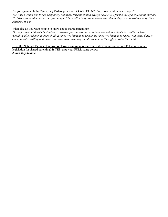#### Do you agree with the Temporary Orders provision AS WRITTEN? If no, how would you change it?

*Yes, only I would like to see Temporary removed. Parents should always have 50/50 for the life of a child until they are 18. Given no legitimate reasons for change. There will always be someone who thinks they can control the ex by their children. It's so* 

#### What else do you want people to know about shared parenting?

*This is for the children's best interests. No one person was chose to have control and rights to a child, or God would've allowed men to bare child. It takes two humans to create, its takes two humans to raise, with equal duty. If each parent is willing and there is no concerns, then they should each have the right to raise their child.* 

Does the National Parents Organization have permission to use your testimony in support of SB 157 or similar legislation for shared parenting? If YES, type your FULL name below: *Jonna Kay Jenkins*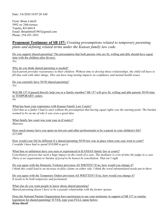Date: 3/6/2020 10:07:20 AM

From: Brian Littrell 5992 sw 24th terrace Topeka, KS 66614 Email: Brianlittrell1983@gmail.com Phone: 254-291-3852

**Proponent Testimony of SB 157:** *Creating presumptions related to temporary parenting plans and defining related terms under the Kansas family law code.*

Do you support shared parenting? The presumption that both parents who are fit, willing and able should have equal time with the children after divorce. *Yes* 

Why do you think shared parenting is needed?

*Each parent provides reassurance to their children. Without time to develop those relationships, the child will have to fill that void with other things. This can have long lasting impacts on confidence and mental health issues.* 

Do you currently have 50/50 shared parenting? *Yes* 

Will SB 157 if passed directly help you or a family member? SB 157 will give fit, willing and able parents 50/50 time in TEMPORARY orders.

*No* 

What has been your experience with Kansas Family Law Courts? *I feel that as a father I had to start without the presumption that having equal rights was the starting point. The burden seemed to be on me of why it was even a good idea.* 

What family law court was your case in (County)? *Shawnee* 

How much money have you spent on lawyers and other professionals to be a parent in your children's life? *\$25,000* 

How would your life be different if a shared parenting 50/50 law was in place when your case went to court? *I wouldn't have had to spend \$10,000 to get it* 

What bias or unfairness have you seen or experienced in KANSAS family law or courts? *Conciliatory process has such a huge impact on the result of a case. The mediator is a lot of time the judge in a case. There is no requirement or burden of proof to be honest In conciliation. That isn't right* 

Do you agree with the Domestic Violence provision AS WRITEN? If no, how would you change it? *I think this could lead to an increase in false claims on either side. I think the word substantiated needs put in there* 

Do you agree with the Temporary Orders provision AS WRITTEN? If no, how would you change it? *It needs to be both temporary and permanent* 

What else do you want people to know about shared parenting? *Shared parenting doesn't have to be a pseudo relationship with the former spouse.* 

Does the National Parents Organization have permission to use your testimony in support of SB 157 or similar legislation for shared parenting? If YES, type your FULL name below: *Brian littrell*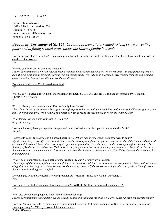From: Julian Wherrell 1001 e MacArthur road lot 226 Wichita, KS 67216 Email: Jmwherrell@yahoo.com Phone: 316-559-3899

### **Proponent Testimony of SB 157:** *Creating presumptions related to temporary parenting plans and defining related terms under the Kansas family law code.*

Do you support shared parenting? The presumption that both parents who are fit, willing and able should have equal time with the children after divorce.

*Yes* 

Why do you think shared parenting is needed?

*Shared parenting time is needed because then it will hold both parents accountable for the child(ren). Shared parenting time will also allow the children to love both parents without feeling guilty. We will see an increase in involvement from the non custodial parent, which in turn will greatly improve the child's live.* 

Do you currently have 50/50 shared parenting? *28%* 

Will SB 157 if passed directly help you or a family member? SB 157 will give fit, willing and able parents 50/50 time in TEMPORARY orders.

*Yes* 

What has been your experience with Kansas Family Law Courts?

*I have been failed by the courts. I have gone through supervised visits, multiple false PFAs, multiple false DCF investigations, and now I'm fighting to get 50/50 when Judge Beasley of Wichita made the recommendation for me to have 50/50.* 

What family law court was your case in (County)? *Sedgwick county* 

How much money have you spent on lawyers and other professionals to be a parent in your children's life? *\$12,000* 

How would your life be different if a shared parenting 50/50 law was in place when your case went to court?

*My life would be greatly different. I wouldn't have had to miss my daughters surgery because the mother didn't tell me about it till*  last second, I wouldn't have missed my daughter preschool graduation, I wouldn't have had to miss my daughters birthday, her *first day of kindergarten, Halloween, Christmas, Easter, July 4th are just some of the days and memories I have missed because the mothers won't communicate until last second and know that I won't be able to make it. With 50/50, there would be nothing like that happening.* 

What bias or unfairness have you seen or experienced in KANSAS family law or courts?

*I have to proof that I'm a fit father even though I have no police record, I have no serious crimes or felonies, I have dealt with false allegations and had to go to a therapist to prove them wrong. I feel as if the courts are trying to find a way where I'm unfit even though there is nothing they can find.* 

Do you agree with the Domestic Violence provision AS WRITEN? If no, how would you change it? *Yes.* 

Do you agree with the Temporary Orders provision AS WRITTEN? If no, how would you change it? *Yes.* 

What else do you want people to know about shared parenting? *Shared parenting time will cut down all the custody battles and will make the child's life even better having both parents equally.* 

Does the National Parents Organization have permission to use your testimony in support of SB 157 or similar legislation for shared parenting? If YES, type your FULL name below: *Julian Wherrell*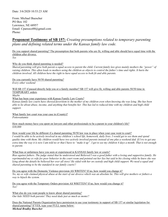Date: 3/6/2020 10:53:23 AM

From: Michael Buescher PO Box 102 Lawrence, NE 68957 Email: Cparsoco00@gmail.com Phone:

### **Proponent Testimony of SB 157:** *Creating presumptions related to temporary parenting plans and defining related terms under the Kansas family law code.*

Do you support shared parenting? The presumption that both parents who are fit, willing and able should have equal time with the children after divorce. *Yes* 

Why do you think shared parenting is needed?

*Shared parenting will give both parent a equal access to parent the child. Current family law gives mainly mothers the "power" of raising children. This often leads to mothers using the children as objects to control the father's time and rights. It hurts the children involved. All children have the right to have equal access to both fit and able parents.* 

Do you currently have 50/50 shared parenting? *Every other weekend* 

Will SB 157 if passed directly help you or a family member? SB 157 will give fit, willing and able parents 50/50 time in TEMPORARY orders.

*Maybe* 

What has been your experience with Kansas Family Law Courts?

*Kansas family law courts have showed favoritism to the mother of my children even when knowing she was lying. She has been able to lie about abuse, income, and anything that benefits her. This has led to reduced time with my children and high child support.* 

What family law court was your case in (County)? *Pottowattamie* 

How much money have you spent on lawyers and other professionals to be a parent in your children's life? *\$30,000* 

How would your life be different if a shared parenting 50/50 law was in place when your case went to court? *I would be able to be actively involved in my children's school life, homework, daily lives. I would get to see them and spend quality time with them. My children would have two actively involved parents instead of one plus a weekend dad. If I try to get any extra time the way it is now I am told no or that I have to "make it up". I get to see my children 4 days a month. That is not enough to parent.* 

What bias or unfairness have you seen or experienced in KANSAS family law or courts?

*Bias against fathers. The judge stated that he understood and Believed I was a good father with a loving and supportive family. He reprimanded my ex wife for poor behavior in the court room and pointed out her lies but said in his closing while he knew she was lying about the details he believed her over all story! He sided with her on custody and high child support. We need a equal and shared parenting to be the standard in our family courts!!* 

Do you agree with the Domestic Violence provision AS WRITEN? If no, how would you change it? *No, my ex wife claimed physical abuse at the start of our divorce which was an absolute lie. This will give mothers or fathers a way to hijack the system.* 

Do you agree with the Temporary Orders provision AS WRITTEN? If no, how would you change it? *Yes!* 

What else do you want people to know about shared parenting? *Our kids NEED both parents! They need dads just as much as moms!!* 

Does the National Parents Organization have permission to use your testimony in support of SB 157 or similar legislation for shared parenting? If YES, type your FULL name below: *Micheal Bradley Buescher*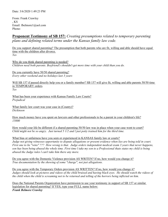Date: 3/6/2020 1:49:23 PM

From: Frank Crawley , KS Email: fbelmore1@aol.com Phone:

**Proponent Testimony of SB 157:** *Creating presumptions related to temporary parenting plans and defining related terms under the Kansas family law code.*

Do you support shared parenting? The presumption that both parents who are fit, willing and able should have equal time with the children after divorce. *Yes* 

Why do you think shared parenting is needed? *Children need both parents. Boyfriend's shouldn't get more time with your child than you do.* 

Do you currently have 50/50 shared parenting? *Every other weekend and no holidays last 3 years* 

Will SB 157 if passed directly help you or a family member? SB 157 will give fit, willing and able parents 50/50 time in TEMPORARY orders. *Yes* 

What has been your experience with Kansas Family Law Courts? *Prejudical* 

What family law court was your case in (County)? *Dickinson* 

How much money have you spent on lawyers and other professionals to be a parent in your children's life? *15000* 

How would your life be different if a shared parenting 50/50 law was in place when your case went to court? *Child might not be so angry. Just turned 5 1/2 and l just potty trained him for the third time.* 

What bias or unfairness have you seen or experienced in KANSAS family law or courts?

*Judge not giving witnesses opportunity to dispute allegations or present evidence when lies are being told in court. First one to lie "wins" ??? How wrong is that. Judge orders independent medical exam 3 years that never happens, son has been being abused the whole time. First time l take my son to a Professional thats states my child is being abused the Judge rules l can't take him there any more.* 

Do you agree with the Domestic Violence provision AS WRITEN? If no, how would you change it? *True documentation by the showing of some "charge", not just allegations.* 

Do you agree with the Temporary Orders provision AS WRITTEN? If no, how would you change it? *Judges should look at pictures and videos of the child bruised and having black eyes. He should watch the videos of the child when the child is screaming not to be returned and telling of the horrors being inflicted on him.* 

Does the National Parents Organization have permission to use your testimony in support of SB 157 or similar legislation for shared parenting? If YES, type your FULL name below: *Frank Belmore Crawley*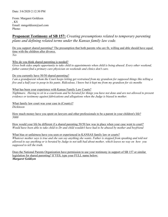Date: 3/6/2020 2:12:30 PM

From: Margaret Goldizen , KS Email: mmgoldizen@aol.com Phone:

**Proponent Testimony of SB 157:** *Creating presumptions related to temporary parenting plans and defining related terms under the Kansas family law code.*

Do you support shared parenting? The presumption that both parents who are fit, willing and able should have equal time with the children after divorce. *Yes* 

Why do you think shared parenting is needed?

Gives both sides ample opportunity to take child to appointments when child is being abused. Every other weekend, *father cannot find a primary care physician on weekends and clinics don't care.* 

Do you currently have 50/50 shared parenting?

*I am a grandparent whom the Court keeps letting get restrained from my grandson for supposed things like telling a five and a half year to poop in his pants. Ridiculous, l know but it kept me from my grandson for six months* 

What has been your experience with Kansas Family Law Courts?

*Nightmare. Having to sit in a courtroom and be berated for things you have not done and are not allowed to present evidence or testimony against fabrications and allegations when the Judge is biased to mother.* 

What family law court was your case in (County)? *Dickinson* 

How much money have you spent on lawyers and other professionals to be a parent in your children's life? *5000* 

How would your life be different if a shared parenting 50/50 law was in place when your case went to court? *Would have been able to take child to Dr and child wouldn't have had to be abused by mother and boyfriend* 

What bias or unfairness have you seen or experienced in KANSAS family law or courts? *Whatever mother says is true and she xan say anything she wants. Father is stopped from speaking and told not allowed to say anything or is berated by Judge to not talk bad about mother, which leaves no way on how you supposed to tell the truth.* 

Does the National Parents Organization have permission to use your testimony in support of SB 157 or similar legislation for shared parenting? If YES, type your FULL name below: *Margaret Goldizen*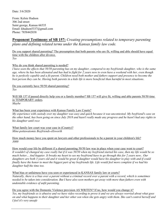From: Kelsie Hudson 306 2nd street Saint george, Kansas 66535 Email: khudson5337@gmail.com Phone: 7858442038

# **Proponent Testimony of SB 157:** *Creating presumptions related to temporary parenting plans and defining related terms under the Kansas family law code.*

Do you support shared parenting? The presumption that both parents who are fit, willing and able should have equal time with the children after divorce. *Yes* 

### Why do you think shared parenting is needed?

*I have seen the effects that 50/50 parenting has on my daughter, compared to my boyfriends daughter, who is the same age, where he has been alienated and has had to fight for 2 years now to even have a weekend with her, even though he is perfectly capable and a fit parent. Children need both mother and fathers support and presence to become the* best person they can be. Having both parents in a kids life is more beneficial than harmful in most situations.

Do you currently have 50/50 shared parenting? *Yes* 

Will SB 157 if passed directly help you or a family member? SB 157 will give fit, willing and able parents 50/50 time in TEMPORARY orders.

*Maybe* 

l

#### What has been your experience with Kansas Family Law Courts?

*My experience with custody over my daughter was easy and quick because it was uncontested. My boyfriend's case on the other hand, has been going on since July 2018 and hasn't really made any progress and he hasn't had any rights to his daughter until rece* 

What family law court was your case in (County)? *Mine-pottawatomie Boyfriends-ellsworth* 

How much money have you spent on lawyers and other professionals to be a parent in your children's life? *3000* 

How would your life be different if a shared parenting 50/50 law was in place when your case went to court? *It wouldn't of changed my case really but if it was 50/50 when my boyfriend started his case, then my life would be so much better... And happier. It breaks my heart to see my boyfriend have to go through this for 2 years now.. Our*  daughters are both 3 years old and it would be great if daughter would have his daughter to play with and if could *finally have the honor to meet the biggest part of my boyfriends life. Life would feel more complete if we had his daughter half the time too.* 

What bias or unfairness have you seen or experienced in KANSAS family law or courts?

*Naturally, there is a bias over a parent without a criminal record over a parent with a record, which is sometimes needed to be taken into consideration. But I have also seen mothers get away with more than fathers even with undeniable evidence of unfit parenting.* 

Do you agree with the Domestic Violence provision AS WRITEN? If no, how would you change it? *Yes, my boyfriends ex is abusive and we have video recording to prove it and we are always worried about what goes on and what happens to their daughter and her other son when she gets angry with them. She can't control herself and I feel it's very unsafe*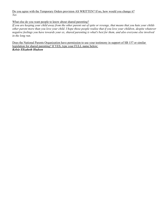Do you agree with the Temporary Orders provision AS WRITTEN? If no, how would you change it? *Yes* 

What else do you want people to know about shared parenting?

*If you are keeping your child away from the other parent out of spite or revenge, that means that you hate your childs other parent more than you love your child. I hope those people realize that if you love your children, despite whatever negative feelings you have towards your ex, shared parenting is what's best for them, and also everyone else involved in the long run.* 

Does the National Parents Organization have permission to use your testimony in support of SB 157 or similar legislation for shared parenting? If YES, type your FULL name below: *Kelsie Elizabeth Hudson*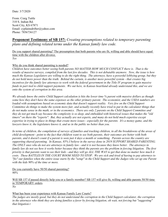From: Craig Tuttle 310 S. Indian Rd. Scott City, KS 67871 Email: cyplainsdrifter@yahoo.com Phone: 7856736127

# **Proponent Testimony of SB 157:** *Creating presumptions related to temporary parenting plans and defining related terms under the Kansas family law code.*

Do you support shared parenting? The presumption that both parents who are fit, willing and able should have equal time with the children after divorce. *Yes* 

### Why do you think shared parenting is needed?

*Children have outcomes better seeing both parents NO MATTER HOW MUCH CONFLICT there is. That is the*  results of massive surveys, compiled from the last few decades. This is not debatable anymore. Now, the issue is how *much the Kansas Legislators are willing to do the right thing. The attorneys, have a powerful lobbying group, but they do not hold more power than the truth. Behind the curtain, is another more powerful system - that creates big*  incentives for the family law attorneys to work with the federal government in the Title IV program to gain massive *funds in part tied to child support payments. We out here, in Kansas heartland already understand this, and we are onto the system of corruption in this area.* 

*We already know the entire Child Support calculation is hits the lower time % parent with massive dollars as though some how they don't have the same expenses as the other primary parent. The economist, and the USDA numbers are loaded with assumptions based on economic data that doesn't support reality. Very few on the Child Support Committee do things to make the system more fair, and actually recently have tried to put in the calculator things that do not make sense in the math, or in the economics. There are only 2 parents on the Child Support Committee and they do not get much say because the complexity is so deep, and embedded with historical issues that makes the "old timers" on there the "experts". But, they actually are not experts, and many do not hold much expertise except expertise in trying to place in things that create more issues - especially for the parents. It's a money game, and the lawyers know it, the legislature knows it, and us in the public no better than you.* 

In terms of children, the compilation of surveys of families and tracking children, in all the breakdowns of the areas of *child development - point to the fact that children want to see both parents, their outcomes are better with both parents, and it doesn't count if a parent is seen just 4 days a month or something. Parents across the country are supporting shared parenting. In Kansas, 85% I believe in the survey done in 2019 SUPPORT SHARED PARENTING. The ONLY ones who do not are attorneys in family law - and it is not because they know better. The attorneys in family law do not see how it works better because they think the parents are the problem in forcing litigation. The first priority is that parents want to see their kids - and they will go ALL THE WAY to get that done no matter how much it costs. These BATTLES IN THE COURT ROOM NEED TO STOP. We are sick and tired of having to pay attorneys to "fix" our families when the entire issue starts by the "setup" in the Child Support and the Judges who set up one Parent with the kids 90% of the time or more.* 

Do you currently have 50/50 shared parenting? *90%* 

l

Will SB 157 if passed directly help you or a family member? SB 157 will give fit, willing and able parents 50/50 time in TEMPORARY orders. *No* 

What has been your experience with Kansas Family Law Courts?

*The judges are mostly good, but they do not understand the corruption in the Child Support calculator, the corruption in the attorneys who think they are doing families a favor by forcing litigation, oh wait, not forcing but "suggesting" that litigation t*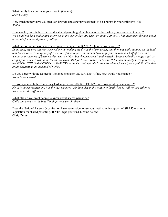What family law court was your case in (County)? *Scott County* 

How much money have you spent on lawyers and other professionals to be a parent in your children's life? *30000* 

How would your life be different if a shared parenting 50/50 law was in place when your case went to court? *We would not have had to hire attorneys at the cost of \$10,000 each, or about \$20,000. That investment for kids could have paid for several years of college.* 

#### What bias or unfairness have you seen or experienced in KANSAS family law or courts?

In my case, my own attorney screwed me but making me divide the farm assets, and then pay child support on the land *that the Ex received in by way of cash. So, if it were fair, she should have to pay me also on her half of cash and whatever investment of business that was used for - but she just spent it and wasted it because she did not get a job or keep a job. Then, I was on the 80/20 rule from 2012 for 6 more years, and I paid 97% (that is ninety seven percent) of the TOTAL CHILD SUPPORT OBLIGATION to my Ex. But, get this I kept kids while I farmed, nearly 80% of the time of the daylight hours and half of nights.* 

Do you agree with the Domestic Violence provision AS WRITEN? If no, how would you change it? *No, it is not needed.* 

Do you agree with the Temporary Orders provision AS WRITTEN? If no, how would you change it? *No, it is poorly written, but it is the best we have. Nothing else in the statute of family law is well written either so what makes the difference.* 

What else do you want people to know about shared parenting? *Child outcomes are the best if both parents see children.* 

Does the National Parents Organization have permission to use your testimony in support of SB 157 or similar legislation for shared parenting? If YES, type your FULL name below: *Craig Tuttle*